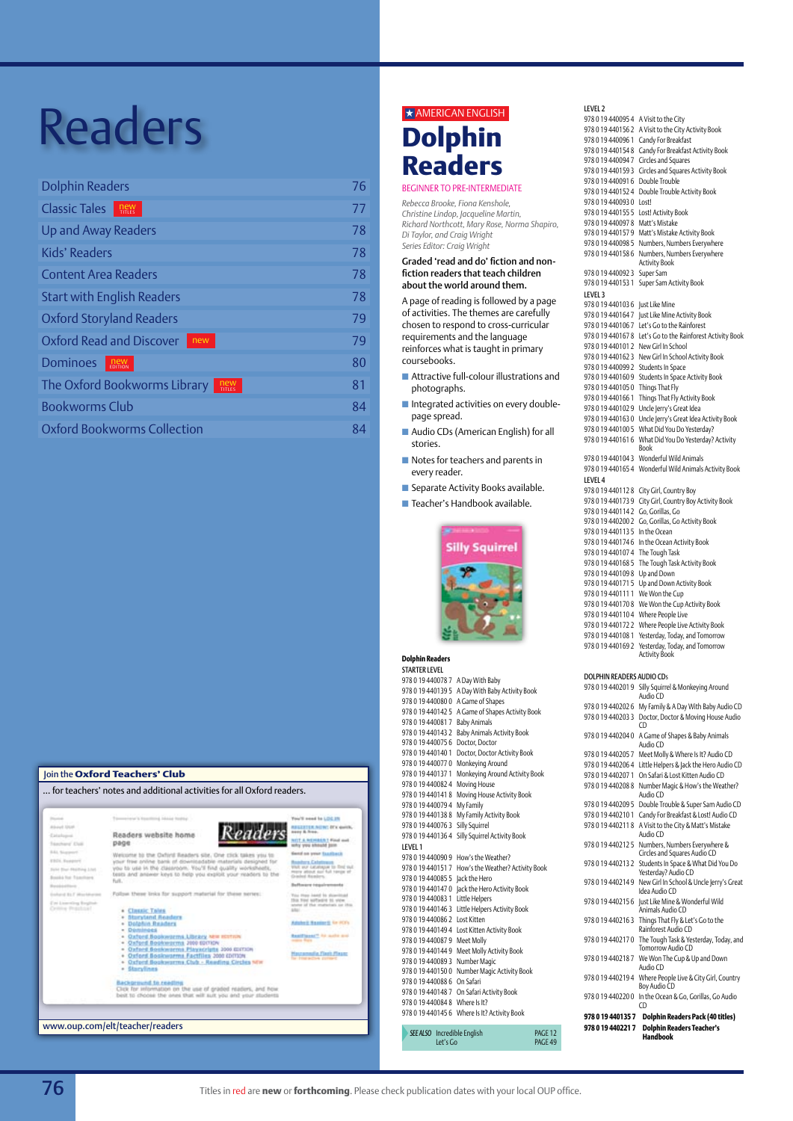| <b>Dolphin Readers</b>              | 76 |
|-------------------------------------|----|
| <b>Classic Tales</b><br>new         | 77 |
| <b>Up and Away Readers</b>          | 78 |
| Kids' Readers                       | 78 |
| <b>Content Area Readers</b>         | 78 |
| <b>Start with English Readers</b>   | 78 |
| <b>Oxford Storyland Readers</b>     | 79 |
| Oxford Read and Discover<br>new     | 79 |
| Dominoes<br><b>new</b><br>EDITION   | 80 |
| The Oxford Bookworms Library<br>new | 81 |
| <b>Bookworms Club</b>               | 84 |
| <b>Oxford Bookworms Collection</b>  | 84 |

#### Join the **Oxford Teachers' Club** … for teachers' notes and additional activities for all Oxford readers. eed to LOCAT About trust **REGISTER, NOW: It's guit** Readers Readers website home Catalogue **NOT A ACCESSED T Find and**<br>why you should join **Tanchers' EVA**<br>Mix Support page Wetcom to the Oxford Re lend on your familieck **ESD** Reserve e in the classroom. You'll find quality<br>answer keys to help you exploit your **Sale four dealers Books for Tax Defined BLF** WO **Bluryland Reader**<br>Dolphin Readers



www.oup.com/elt/teacher/readers

## $\star$  AMERICAN ENGLISH

## **Dolphin Readers**

#### beginner to pre-intermediate

*Rebecca Brooke, Fiona Kenshole, Christine Lindop, Jacqueline Martin, Richard Northcott, Mary Rose, Norma Shapiro, Di Taylor, and Craig Wright Series Editor: Craig Wright*

#### Graded 'read and do' fiction and nonfiction readers that teach children about the world around them.

A page of reading is followed by a page of activities. The themes are carefully chosen to respond to cross-curricular requirements and the language reinforces what is taught in primary coursebooks.

- $\blacksquare$  Attractive full-colour illustrations and photographs.
- $\blacksquare$  Integrated activities on every doublepage spread.
- Audio CDs (American English) for all stories.
- $\blacksquare$  Notes for teachers and parents in every reader.
- **n** Separate Activity Books available.
- Teacher's Handbook available.



#### **Dolphin Readers**

| S IAR I ER LEVEL                   |                                                  |                    |                     |
|------------------------------------|--------------------------------------------------|--------------------|---------------------|
| 978 0 19 440078 7                  | A Day With Baby                                  |                    | <b>DOLPHIN READ</b> |
| 978 0 19 440139 5                  | A Day With Baby Activity Book                    |                    | 97801944020         |
| 978 0 19 440080 0 A Game of Shapes |                                                  |                    | 97801944020         |
|                                    | 978 0 19 440142 5 A Game of Shapes Activity Book |                    | 97801944020         |
| 978 0 19 440081 7 Baby Animals     |                                                  |                    |                     |
| 978 0 19 440143 2                  | Baby Animals Activity Book                       |                    | 97801944020         |
| 978 0 19 440075 6 Doctor, Doctor   |                                                  |                    |                     |
| 978 0 19 440140 1                  | Doctor, Doctor Activity Book                     |                    | 97801944020         |
|                                    | 978 0 19 440077 0 Monkeying Around               |                    | 97801944020         |
| 978 0 19 440137 1                  | Monkeying Around Activity Book                   |                    | 97801944020         |
| 978 0 19 440082 4                  | Moving House                                     |                    | 97801944020         |
| 978 0 19 440141 8                  | Moving House Activity Book                       |                    |                     |
| 978 0 19 440079 4                  | My Family                                        |                    | 97801944020         |
| 978 0 19 440138 8                  | My Family Activity Book                          |                    | 97801944021         |
| 978 0 19 440076 3                  | Silly Squirrel                                   |                    | 97801944021         |
| 978 0 19 440136 4                  | Silly Squirrel Activity Book                     |                    |                     |
| LEVEL 1                            |                                                  |                    | 97801944021         |
|                                    | 978 0 19 440090 9 How's the Weather?             |                    |                     |
| 978 0 19 440151 7                  | How's the Weather? Activity Book                 |                    | 97801944021         |
| 978 0 19 440085 5 Jack the Hero    |                                                  |                    | 97801944021         |
|                                    | 978 0 19 440147 0 Jack the Hero Activity Book    |                    |                     |
| 978 0 19 440083 1 Little Helpers   |                                                  |                    | 97801944021         |
|                                    | 978 0 19 440146 3 Little Helpers Activity Book   |                    |                     |
| 978 0 19 440086 2 Lost Kitten      |                                                  |                    | 97801944021         |
|                                    | 978 0 19 440149 4 Lost Kitten Activity Book      |                    |                     |
| 978 0 19 440087 9 Meet Molly       |                                                  |                    | 97801944021         |
|                                    | 978 0 19 440144 9 Meet Molly Activity Book       |                    |                     |
| 978 0 19 440089 3 Number Magic     |                                                  |                    | 97801944021         |
|                                    | 978 0 19 440150 0 Number Magic Activity Book     |                    |                     |
| 978 0 19 440088 6 On Safari        |                                                  |                    | 97801944021         |
|                                    | 978 0 19 440148 7 On Safari Activity Book        |                    | 97801944022         |
| 978 0 19 440084 8 Where Is It?     |                                                  |                    |                     |
|                                    | 978 0 19 440145 6 Where Is It? Activity Book     |                    | 9780194401          |
| <b>SEE ALSO</b>                    | Incredible English                               | PAGF <sub>12</sub> | 9780194402          |
| Let's Go                           |                                                  | PAGE 49            |                     |

Level 2 978 0 19 440095 4 A Visit to the City 978 0 19 440156 2 A Visit to the City Activity Book 978 0 19 440096 1 Candy For Breakfast 978 0 19 440154 8 Candy For Breakfast Activity Book 978 0 19 440094 7 Circles and Squares 978 0 19 440159 3 Circles and Squares Activity Book 978 0 19 440091 6 Double Trouble 978 0 19 440152 4 Double Trouble Activity Book 978 0 19 440093 0 Lost! 978 0 19 440155 5 Lost! Activity Book 978 0 19 440097 8 Matt's Mistake 978 0 19 440157 9 Matt's Mistake Activity Book 978 0 19 440098 5 Numbers, Numbers Everywhere 978 0 19 440158 6 Numbers, Numbers Everywhere Activity Book 978 0 19 440092 3 Super Sam 978 0 19 440153 1 Super Sam Activity Book Level 3 978 0 19 440103 6 Just Like Mine 978 0 19 440164 7 Just Like Mine Activity Book 978 0 19 440106 7 Let's Go to the Rainforest 978 0 19 440167 8 Let's Go to the Rainforest Activity Book 978 0 19 440101 2 New Girl In School 978 0 19 440162 3 New Girl In School Activity Book 978 0 19 440099 2 Students In Space 978 0 19 440160 9 Students In Space Activity Book 978 0 19 440105 0 Things That Fly 978 0 19 440166 1 Things That Fly Activity Book 978 0 19 440102 9 Uncle Jerry's Great Idea 978 0 19 440163 0 Uncle Jerry's Great Idea Activity Book 978 0 19 440100 5 What Did You Do Yesterday? 978 0 19 440161 6 What Did You Do Yesterday? Activity Book 978 0 19 440104 3 Wonderful Wild Animals 978 0 19 440165 4 Wonderful Wild Animals Activity Book Level 4 978 0 19 440112 8 City Girl, Country Boy 978 0 19 440173 9 City Girl, Country Boy Activity Book 978 0 19 440114 2 Go, Gorillas, Go 978 0 19 440200 2 Go, Gorillas, Go Activity Book 978 0 19 440113 5 In the Ocean 978 0 19 440174 6 In the Ocean Activity Book 978 0 19 440107 4 The Tough Task 978 0 19 440168 5 The Tough Task Activity Book 978 0 19 440109 8 Up and Down 978 0 19 440171 5 Up and Down Activity Book 978 0 19 440111 1 We Won the Cup 978 0 19 440170 8 We Won the Cup Activity Book 978 0 19 440110 4 Where People Live 978 0 19 440172 2 Where People Live Activity Book 978 0 19 440108 1 Yesterday, Today, and Tomorrow 978 0 19 440169 2 Yesterday, Today, and Tomorrow Activity Book DERS AUDIO CDs

#### 978 0 19 440201 9 Silly Squirrel & Monkeying Around Audio CD 26 My Family & A Day With Baby Audio CD 13 3 Doctor, Doctor & Moving House Audio CD 940 A Game of Shapes & Baby Animals Audio CD 057 Meet Molly & Where Is It? Audio CD 064 Little Helpers & Jack the Hero Audio CD 978 0 19 440207 1 On Safari & Lost Kitten Audio CD 1978 Number Magic & How's the Weather? Audio CD 195 Double Trouble & Super Sam Audio CD 101 Candy For Breakfast & Lost! Audio CD 18 A Visit to the City & Matt's Mistake Audio CD 125 Numbers, Numbers Everywhere & Circles and Squares Audio CD 32 Students In Space & What Did You Do Yesterday? Audio CD 149 New Girl In School & Uncle Jerry's Great Idea Audio CD 978 0 19 440215 6 Just Like Mine & Wonderful Wild Animals Audio CD 16.3 Things That Fly & Let's Go to the Rainforest Audio CD 170 The Tough Task & Yesterday, Today, and Tomorrow Audio CD 187 We Won The Cup & Up and Down Audio CD 194 Where People Live & City Girl, Country **Boy Audio CD** en<br>200 In the Ocean & Go, Gorillas, Go Audio  $\overline{CD}$ **978 0 19 440135 7 Dolphin Readers Pack (40 titles)**

**978 0 19 440221 7 Dolphin Readers Teacher's Handbook**

**Catallinum**<br>Latallague to first suit<br>Net aux fuit range of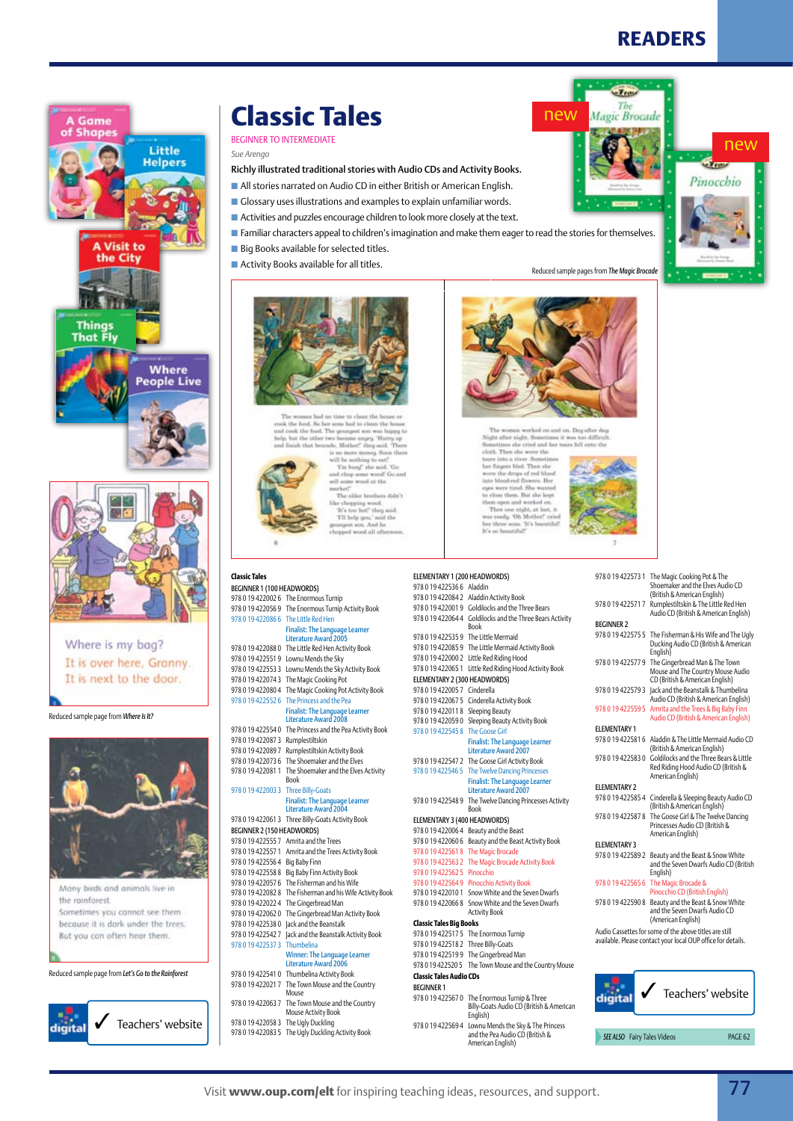$\mathbf{v}$ Tb Magic Brocade

new

Pinocchio





Where is my bag? It is over here, Granny. It is next to the door.

Reduced sample page from *Where Is It?*



Many birds and animals live in the rainforest. Sometimes you cannot see them because it is dark under the trees. But you can often hear them.

Reduced sample page from *Let's Go to the Rainforest*



## **Classic Tales**

### Beginner to Intermediate

**Classic Tales**

Beginner 1 (100 headwords) 978 0 19 422002 6 The Enormous Turnip 978 0 19 422056 9 The Enormous Turnip Activity Book 978 0 19 422086 6 The Little Red Hen

*Sue Arengo*

- Richly illustrated traditional stories with Audio CDs and Activity Books.
- **n** All stories narrated on Audio CD in either British or American English.
- $\blacksquare$  Glossary uses illustrations and examples to explain unfamiliar words.
- $\blacksquare$  Activities and puzzles encourage children to look more closely at the text.
- Familiar characters appeal to children's imagination and make them eager to read the stories for themselves.
- $\blacksquare$  Big Books available for selected titles.
- $\blacksquare$  Activity Books available for all titles.

but the other two



new

after night. Sometimes it was to<br>times she cried and her tears fell<br>Then she wove the inf. Then of<br>ps of red bl  $-16$ of She en. But she kept on and worked or Then one night, at lust, it<br>as ready. Oh Mother? cris



Reduced sample pages from *The Magic Brocade*

| 9780194225731                                                                                                          | The Magic Cooking Pot & The<br>Shoemaker and the Elves Audio CD<br>(British & American English)        |  |
|------------------------------------------------------------------------------------------------------------------------|--------------------------------------------------------------------------------------------------------|--|
| 9780194225717                                                                                                          | Rumplestiltskin & The Little Red Hen<br>Audio CD (British & American English)                          |  |
| <b>BEGINNER 2</b>                                                                                                      |                                                                                                        |  |
| 978 0 19 422575 5                                                                                                      | The Fisherman & His Wife and The Ugly<br>Ducking Audio CD (British & American<br>English)              |  |
| 9780194225779                                                                                                          | The Gingerbread Man & The Town<br>Mouse and The Country Mouse Audio<br>CD (British & American English) |  |
| 9780194225793                                                                                                          | Jack and the Beanstalk & Thumbelina<br>Audio CD (British & American English)                           |  |
| 978 0 19 422559 5                                                                                                      | Amrita and the Trees & Big Baby Finn<br>Audio CD (British & American English)                          |  |
| <b>ELEMENTARY 1</b>                                                                                                    |                                                                                                        |  |
| 9780194225816                                                                                                          | Aladdin & The Little Mermaid Audio CD<br>(British & American English)                                  |  |
| 9780194225830                                                                                                          | Goldilocks and the Three Bears & Little<br>Red Riding Hood Audio CD (British &<br>American English)    |  |
| <b>ELEMENTARY 2</b>                                                                                                    |                                                                                                        |  |
| 9780194225854                                                                                                          | Cinderella & Sleeping Beauty Audio CD<br>(British & American English)                                  |  |
| 9780194225878                                                                                                          | The Goose Girl & The Twelve Dancing<br>Princesses Audio CD (British &<br>American English)             |  |
| <b>ELEMENTARY 3</b>                                                                                                    |                                                                                                        |  |
| 9780194225892                                                                                                          | Beauty and the Beast & Snow White<br>and the Seven Dwarfs Audio CD (British<br>English)                |  |
| 978 0 19 422565 6                                                                                                      | The Magic Brocade &<br>Pinocchio CD (British English)                                                  |  |
| 9780194225908                                                                                                          | Beauty and the Beast & Snow White<br>and the Seven Dwarfs Audio CD<br>(American English)               |  |
| Audio Cassettes for some of the above titles are still<br>available. Please contact your local OUP office for details. |                                                                                                        |  |
|                                                                                                                        |                                                                                                        |  |
|                                                                                                                        |                                                                                                        |  |



**SEE ALSO** Fairy Tales Videos **PAGE 62** 

978 0 19 422553 3 Lownu Mends the Sky Activity Book 978 0 19 422074 3 The Magic Cooking Pot 978 0 19 422080 4 The Magic Cooking Pot Activity Book 978 0 19 422552 6 The Princess and the Pea Finalist: The Language Learner Literature Award 2008 978 0 19 422554 0 The Princess and the Pea Activity Book 978 0 19 422087 3 Rumplestiltskin 978 0 19 422089 7 Rumplestiltskin Activity Book 978 0 19 422073 6 The Shoemaker and the Elves 978 0 19 422081 1 The Shoemaker and the Elves Activity Book 978 0 19 422003 3 Three Billy-Goats Finalist: The Language Learner Literature Award 2004 978 0 19 422061 3 Three Billy-Goats Activity Book Beginner 2 (150 headwords) 978 0 19 422555 7 Amrita and the Trees

Finalist: The Language Learner Literature Award 2005

food. So her sons had to clean the ho ok the field. The promptet son was hoppy to

vs became angrų. Tharry v<br>da, Mother," they said. "Th

 $\begin{array}{l} \text{obting to out!'}\\ \text{top} ' \text{ show mid. 'Go}\\ \text{conv word out the}\\ \text{weak at the} \end{array}$ 

The objections date's

The sider brothers dide<br>to chopping wood.<br>"It's too hot!" they said.<br>TII help you," said the<br>stepset sun. And he<br>opped wood all afternot<br>opped wood all afternot

978 0 19 422088 0 The Little Red Hen Activity Book 978 0 19 422551 9 Lownu Mends the Sky

|                                 | 9/801942255/1 Amrita and the Trees Activity Book                    |
|---------------------------------|---------------------------------------------------------------------|
| 978 0 19 422556 4 Big Baby Finn |                                                                     |
|                                 | 978 0 19 422558 8 Big Baby Finn Activity Book                       |
|                                 | 978 0 19 422057 6 The Fisherman and his Wife                        |
|                                 | 978 0 19 422082 8 The Fisherman and his Wife Activity Book          |
|                                 | 978 0 19 422022 4 The Gingerbread Man                               |
|                                 | 978 0 19 422062 0 The Gingerbread Man Activity Book                 |
|                                 | 978 0 19 422538 0 Jack and the Beanstalk                            |
|                                 | 978 0 19 422542 7 Jack and the Beanstalk Activity Book              |
| 978 0 19 422537 3 Thumbelina    |                                                                     |
|                                 | <b>Winner: The Language Learner</b><br><b>Literature Award 2006</b> |
|                                 | 978 0 19 422541 0 Thumbelina Activity Book                          |

|                                     | 978 0 19 422021 7 The Town Mouse and the Country<br>Mouse               |
|-------------------------------------|-------------------------------------------------------------------------|
|                                     | 978 0 19 422063 7 The Town Mouse and the Country<br>Mouse Activity Book |
| 978 0 19 422058 3 The Ugly Duckling |                                                                         |
|                                     | 978 0 19 422083 5 The Ugly Duckling Activity Book                       |
|                                     |                                                                         |

978 0 19 422000 2 Little Red Riding Hood 978 0 19 422065 1 Little Red Riding Hood Activity Book Elementary 2 (300 headwords) 978 0 19 422005 7 Cinderella 978 0 19 422067 5 Cinderella Activity Book 978 0 19 422011 8 Sleeping Beauty 978 0 19 422059 0 Sleeping Beauty Activity Book 978 0 19 422545 8 The Goose Girl Finalist: The Language Learner Literature Award 2007 978 0 19 422547 2 The Goose Girl Activity Book 978 0 19 422546 5 The Twelve Dancing Princesses Finalist: The Language Learner Literature Award 2007 978 0 19 422548 9 The Twelve Dancing Princesses Activity Book Elementary 3 (400 headwords) 978 0 19 422006 4 Beauty and the Beast 978 0 19 422060 6 Beauty and the Beast Activity Book 978 0 19 422561 8 The Magic Brocade 978 0 19 422563 2 The Magic Brocade Activity Book 978 0 19 422562 5 Pinocchio 978 0 19 422564 9 Pinocchio Activity Book 978 0 19 422010 1 Snow White and the Seven Dwarfs 978 0 19 422066 8 Snow White and the Seven Dwarfs Activity Book **Classic Tales Big Books** 978 0 19 422517 5 The Enormous Turnip

Elementary 1 (200 headwords) 978 0 19 422536 6 Aladdin 978 0 19 422084 2 Aladdin Activity Book 978 0 19 422001 9 Goldilocks and the Three Bears 978 0 19 422064 4 Goldilocks and the Three Bears Activity Book 978 0 19 422535 9 The Little Mermaid 978 0 19 422085 9 The Little Mermaid Activity Book

978 0 19 422518 2 Three Billy-Goats 978 0 19 422519 9 The Gingerbread Man 978 0 19 422520 5 The Town Mouse and the Country Mouse **Classic Tales Audio CDs** Beginner 1 978 0 19 422567 0 The Enormous Turnip & Three Billy-Goats Audio CD (British & American English) 978 0 19 422569 4 Lownu Mends the Sky & The Princess and the Pea Audio CD (British & American English)

### Visit **www.oup.com/elt** for inspiring teaching ideas, resources, and support. 77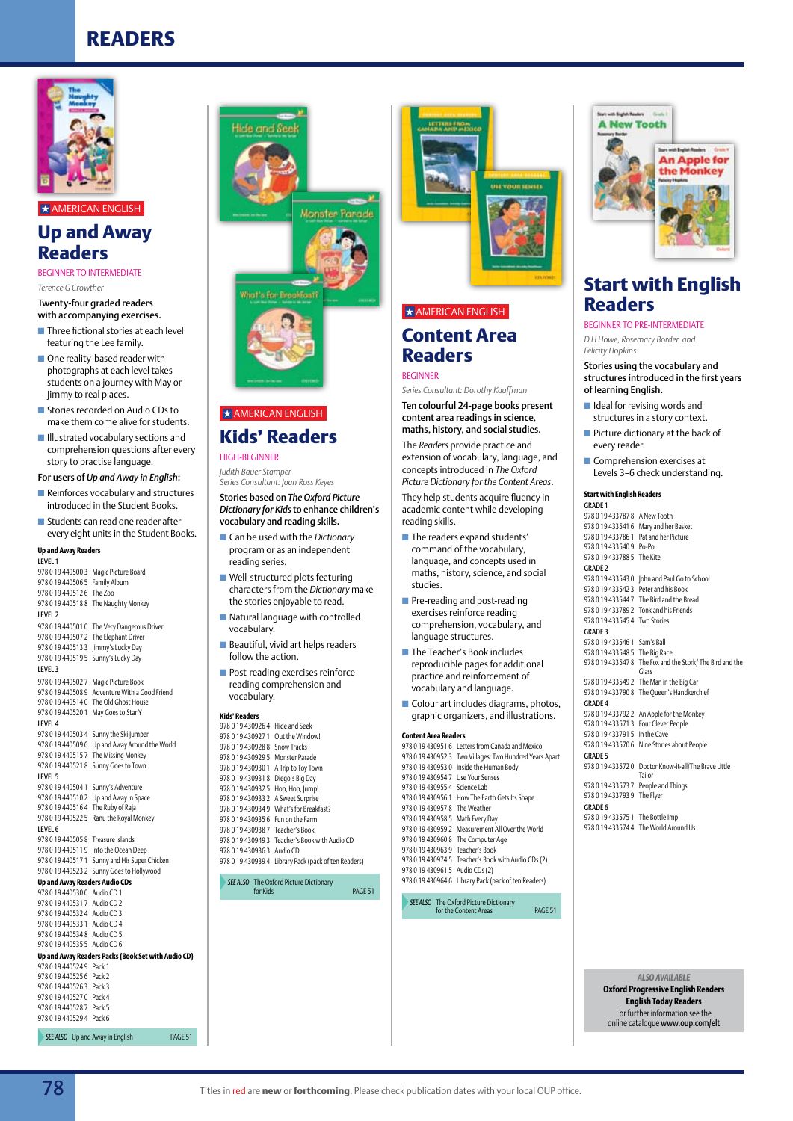

## $\star$  AMERICAN ENGLISH

### **Up and Away Readers**

#### BEGINNER TO INTERMEDIATE

*Terence G Crowther*

#### Twenty-four graded readers with accompanying exercises.

- $\blacksquare$  Three fictional stories at each level featuring the Lee family.
- $\blacksquare$  One reality-based reader with photographs at each level takes students on a journey with May or Jimmy to real places.
- Stories recorded on Audio CDs to make them come alive for students.
- $\blacksquare$  Illustrated vocabulary sections and comprehension questions after every story to practise language.

#### For users of *Up and Away in English*:

- $\blacksquare$  Reinforces vocabulary and structures introduced in the Student Books.
- $\blacksquare$  Students can read one reader after every eight units in the Student Books.

#### **Up and Away Readers**

| <b>LEVEL1</b>                        |                                                    |
|--------------------------------------|----------------------------------------------------|
| 978 0 19 440500 3                    | Magic Picture Board                                |
| 978 0 19 440506 5                    | Family Album                                       |
| 9780194405126                        | The Zoo                                            |
| 9780194405188                        | The Naughty Monkey                                 |
| LEVEL <sub>2</sub>                   |                                                    |
| 9780194405010                        | The Very Dangerous Driver                          |
| 978 0 19 440507 2                    | The Elephant Driver                                |
| 9780194405133                        | Jimmy's Lucky Day                                  |
| 978 0 19 440519 5                    | Sunny's Lucky Day                                  |
| <b>LEVEL 3</b>                       |                                                    |
| 978 0 19 440502 7                    | Magic Picture Book                                 |
| 9780194405089                        | Adventure With a Good Friend                       |
| 9780194405140                        | The Old Ghost House                                |
| 978 0 19 440520 1                    | May Goes to Star Y                                 |
| LEVEL 4                              |                                                    |
| 9780194405034                        | Sunny the Ski Jumper                               |
| 9780194405096                        | Up and Away Around the World                       |
| 9780194405157                        | The Missing Monkey                                 |
| 9780194405218                        | Sunny Goes to Town                                 |
| LEVEL 5                              |                                                    |
| 978 0 19 440504 1                    | Sunny's Adventure                                  |
| 9780194405102                        | Up and Away in Space                               |
| 9780194405164                        | The Ruby of Raja                                   |
| 9780194405225                        | Ranu the Royal Monkey                              |
| LEVEL 6                              |                                                    |
| 978 0 19 440505 8                    | <b>Treasure Islands</b>                            |
| 9780194405119                        | Into the Ocean Deep                                |
| 978 0 19 440517 1                    | Sunny and His Super Chicken                        |
| 978 0 19 440523 2                    | Sunny Goes to Hollywood                            |
| <b>Up and Away Readers Audio CDs</b> |                                                    |
| 9780194405300                        | Audio CD 1                                         |
| 9780194405317                        | Audio CD <sub>2</sub>                              |
| 9780194405324                        | Audio CD 3                                         |
| 9780194405331                        | Audio CD 4                                         |
| 9780194405348                        | Audio CD 5                                         |
| 978 0 19 440535 5                    | Audio CD 6                                         |
|                                      | Up and Away Readers Packs (Book Set with Audio CD) |
| 9780194405249                        | Pack 1                                             |
| 9780194405256                        | Pack <sub>2</sub>                                  |
| 9780194405263                        | Pack 3                                             |
| 978 0 19 440527 0                    | Pack 4                                             |



## **Kids' Readers**

Hide and See

**Monster Parade** 

High-Beginner *Judith Bauer Stamper* 

*Series Consultant: Joan Ross Keyes*

#### Stories based on *The Oxford Picture Dictionary for Kids* to enhance children's vocabulary and reading skills.

- Can be used with the *Dictionary* program or as an independent reading series.
- $\blacksquare$  Well-structured plots featuring characters from the *Dictionary* make the stories enjoyable to read.
- $\blacksquare$  Natural language with controlled vocabulary.
- $\blacksquare$  Beautiful, vivid art helps readers follow the action.
- $\blacksquare$  Post-reading exercises reinforce reading comprehension and vocabulary.

| 978 0 19 430926 4 Hide and Seek   |                                                      |
|-----------------------------------|------------------------------------------------------|
| 9780194309271                     | Out the Windowl                                      |
| 9780194309288                     | Snow Tracks                                          |
| 9780194309295                     | Monster Parade                                       |
| 978 0 19 430930 1                 | A Trip to Toy Town                                   |
| 9780194309318                     | Diego's Big Day                                      |
| 9780194309325                     | Hop, Hop, Jump!                                      |
| 9780194309332                     | A Sweet Surprise                                     |
|                                   | 978 0 19 430934 9 What's for Breakfast?              |
| 978 0 19 430935 6 Fun on the Farm |                                                      |
| 978 0 19 430938 7 Teacher's Book  |                                                      |
|                                   | 978 0 19 430949 3 Teacher's Book with Audio CD       |
| 978 0 19 430936 3 Audio CD        |                                                      |
|                                   | 978 0 19 430939 4 Library Pack (pack of ten Readers) |
|                                   |                                                      |

*See also* The Oxford Picture Dictionary

**PACE 51** 



#### $\star$  AMERICAN ENGLISH

### **Content Area Readers**

#### **BEGINNER**

*Series Consultant: Dorothy Kauffman* Ten colourful 24-page books present content area readings in science, maths, history, and social studies.

The *Readers* provide practice and extension of vocabulary, language, and concepts introduced in *The Oxford Picture Dictionary for the Content Areas*.

They help students acquire fluency in academic content while developing reading skills.

- **n** The readers expand students' command of the vocabulary, language, and concepts used in maths, history, science, and social studies.
- $\blacksquare$  Pre-reading and post-reading exercises reinforce reading comprehension, vocabulary, and language structures.
- $\blacksquare$  The Teacher's Book includes reproducible pages for additional practice and reinforcement of vocabulary and language.
- $\blacksquare$  Colour art includes diagrams, photos, Kids' Readers **Kids' Readers graphic organizers**, and illustrations.

#### **Content Area Readers**

978 0 19 430951 6 Letters from Canada and Mexico 978 0 19 430952 3 Two Villages: Two Hundred Years Apart 978 0 19 430953 0 Inside the Human Body 978 0 19 430954 7 Use Your Senses 978 0 19 430955 4 Science Lab 978 0 19 430956 1 How The Earth Gets Its Shape 978 0 19 430957 8 The Weather 978 0 19 430958 5 Math Every Day 978 0 19 430959 2 Measurement All Over the World 978 0 19 430960 8 The Computer Age 978 0 19 430963 9 Teacher's Book 978 0 19 430974 5 Teacher's Book with Audio CDs (2) 978 0 19 430961 5 Audio CDs (2) 978 0 19 430964 6 Library Pack (pack of ten Readers)

**SEE ALSO** The Oxford Picture Dictionary<br>for the Content Areas page 51



### **Start with English Readers**

Beginner to Pre-Intermediate *D H Howe, Rosemary Border, and Felicity Hopkins*

Stories using the vocabulary and structures introduced in the first years of learning English.

- $\blacksquare$  Ideal for revising words and structures in a story context.
- $\blacksquare$  Picture dictionary at the back of every reader.
- $\blacksquare$  Comprehension exercises at Levels 3–6 check understanding.

#### **Start with English Readers** Grade 1

978 0 19 433787 8 A New Tooth 978 0 19 433541 6 Mary and her Basket 978 0 19 433786 1 Pat and her Picture 978 0 19 433540 9 Po-Po 978 0 19 433788 5 The Kite Grade 2 978 0 19 433543 0 John and Paul Go to School 978 0 19 433542 3 Peter and his Book 978 0 19 433544 7 The Bird and the Bread 978 0 19 433789 2 Tonk and his Friends 978 0 19 433545 4 Two Stories Grade 3 978 0 19 433546 1 Sam's Ball 978 0 19 433548 5 The Big Race 978 0 19 433547 8 The Fox and the Stork/ The Bird and the Glass 978 0 19 433549 2 The Man in the Big Car 978 0 19 433790 8 The Queen's Handkerchief Grade 4 978 0 19 433792 2 An Apple for the Monkey 978 0 19 433571 3 Four Clever People 978 0 19 433791 5 In the Cave 978 0 19 433570 6 Nine Stories about People Grade 5 978 0 19 433572 0 Doctor Know-it-all/The Brave Little Tailor 978 0 19 433573 7 People and Things 978 0 19 433793 9 The Flyer Grade 6 978 0 19 433575 1 The Bottle Imp 978 0 19 433574 4 The World Around Us

*ALSO AVAILABLE* 

**Oxford Progressive English Readers English Today Readers** For further information see the online catalogue www.oup.com/elt

978 0 19 440528 7 Pack 5 978 0 19 440529 4 Pack 6

**SEE ALSO** Up and Away in English **PAGE 51**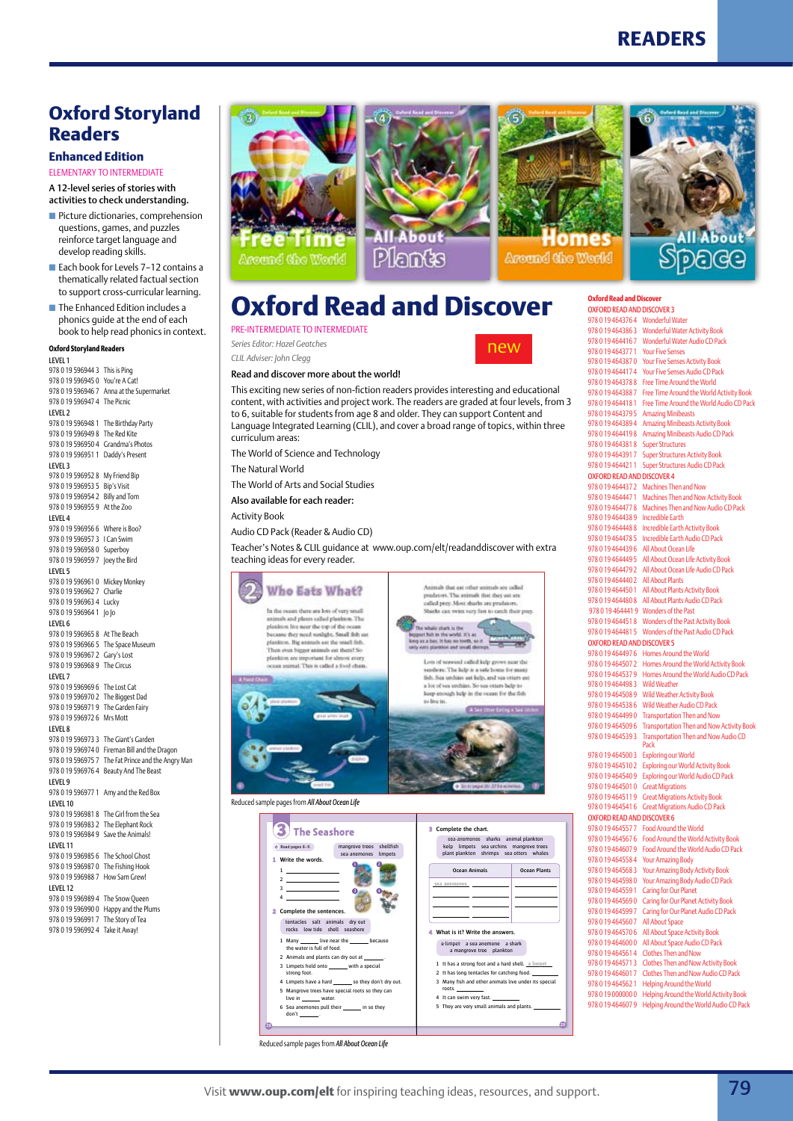### **Oxford Storyland Readers**

#### **Enhanced Edition**

elementary to intermediate

A 12-level series of stories with activities to check understanding.

- **n** Picture dictionaries, comprehension questions, games, and puzzles reinforce target language and develop reading skills.
- Each book for Levels 7-12 contains a thematically related factual section to support cross-curricular learning.
- $\blacksquare$  The Enhanced Edition includes a phonics guide at the end of each book to help read phonics in context.

**Oxford Storyland Readers**

| LEVEL 1                        |                                  |
|--------------------------------|----------------------------------|
| 9780195969443                  | This is Ping                     |
| 9780195969450                  | You're A Cat!                    |
| 9780195969467                  | Anna at the Supermarket          |
| 978 0 19 596947 4              | The Picnic                       |
| LEVEL <sub>2</sub>             |                                  |
| 978 0 19 596948 1              | The Birthday Party               |
| 978 0 19 596949 8              | The Red Kite                     |
| 978 0 19 596950 4              | Grandma's Photos                 |
| 978 0 19 596951 1              | Daddy's Present                  |
| LEVEL <sub>3</sub>             |                                  |
| 9780195969528                  | My Friend Bip                    |
| 978 0 19 596953 5              | <b>Bip's Visit</b>               |
| 978 0 19 596954 2              | <b>Billy and Tom</b>             |
| 9780195969559                  | At the Zoo                       |
| LEVEL 4                        |                                  |
| 978 0 19 596956 6              | Where is Boo?                    |
| 9780195969573                  | I Can Swim                       |
| 9780195969580                  | Superboy                         |
| 9780195969597                  | Joey the Bird                    |
| LEVEL 5                        |                                  |
| 978 0 19 5969610               | Mickey Monkey                    |
| 9780195969627                  | Charlie                          |
| 9780195969634                  | Lucky                            |
| 978 0 19 596964 1              | 0 0                              |
| LEVEL 6                        |                                  |
| 9780195969658                  | At The Beach                     |
| 978 0 19 596966 5              | The Space Museum                 |
| 9780195969672                  | Gary's Lost                      |
| 978 0 19 596968 9              | <b>The Circus</b>                |
| LEVEL <sub>7</sub>             |                                  |
| 978 0 19 596969 6              | The Lost Cat                     |
| 978 0 19 596970 2              | The Biggest Dad                  |
| 9780195969719                  | The Garden Fairy                 |
| 9780195969726                  | Mrs Mott                         |
| LEVEL 8                        |                                  |
| 978 0 19 596973 3              | The Giant's Garden               |
| 9780195969740                  | Fireman Bill and the Dragon      |
| 9780195969757                  | The Fat Prince and the Angry Man |
| 9780195969764                  | Beauty And The Beast             |
| LEVEL 9                        |                                  |
| 978 0 19 596977 1              | Amy and the Red Box              |
| LEVEL 10                       |                                  |
| 9780195969818                  | The Girl from the Sea            |
| 978 0 19 596983 2              | The Elephant Rock                |
| 9780195969849                  | Save the Animals!                |
| LEVEL 11                       |                                  |
| 978 0 19 596985 6              | The School Ghost                 |
| 9780195969870                  | The Fishing Hook                 |
| 9780195969887                  | How Sam Grew!                    |
|                                |                                  |
| LEVEL 12                       |                                  |
| 9780195969894<br>9780195969900 | The Snow Queen                   |
|                                | Happy and the Plums              |
| 978 0 19 596991 7              | The Story of Tea                 |
| 978 0 19 596992 4              | Take it Away!                    |
|                                |                                  |







Around the World

new

| <b>Oxford Read and Discover</b>                    |                                                                                |
|----------------------------------------------------|--------------------------------------------------------------------------------|
| <b>OXFORD READ AND DISCOVER 3</b>                  |                                                                                |
| 978 0 19 464376 4 Wonderful Water<br>9780194643863 | <b>Wonderful Water Activity Book</b>                                           |
| 9780194644167                                      | Wonderful Water Audio CD Pack                                                  |
| 9780194643771                                      | <b>Your Five Senses</b>                                                        |
| 9780194643870<br>9780194644174                     | <b>Your Five Senses Activity Book</b><br>Your Five Senses Audio CD Pack        |
| 9780194643788                                      | Free Time Around the World                                                     |
| 9780194643887                                      | Free Time Around the World Activity Book                                       |
| 9780194644181                                      | Free Time Around the World Audio CD Pack                                       |
| 9780194643795<br>9780194643894                     | <b>Amazing Minibeasts</b><br>Amazing Minibeasts Activity Book                  |
| 9780194644198                                      | Amazing Minibeasts Audio CD Pack                                               |
| 9780194643818                                      | <b>Super Structures</b>                                                        |
| 978 0 19 4643917                                   | <b>Super Structures Activity Book</b>                                          |
| 9780194644211                                      | <b>Super Structures Audio CD Pack</b>                                          |
| <b>OXFORD READ AND DISCOVER 4</b><br>9780194644372 | Machines Then and Now                                                          |
| 9780194644471                                      | Machines Then and Now Activity Book                                            |
| 9780194644778                                      | Machines Then and Now Audio CD Pack                                            |
| 9780194644389                                      | Incredible Earth                                                               |
| 9780194644488<br>9780194644785                     | <b>Incredible Earth Activity Book</b><br><b>Incredible Earth Audio CD Pack</b> |
| 9780194644396                                      | All About Ocean Life                                                           |
| 978 0 19 464449 5                                  | All About Ocean Life Activity Book                                             |
| 9780194644792                                      | All About Ocean Life Audio CD Pack                                             |
| 9780194644402                                      | <b>All About Plants</b><br>All About Plants Activity Book                      |
| 978 0 19 464450 1<br>9780194644808                 | All About Plants Audio CD Pack                                                 |
| 9780194644419                                      | <b>Wonders of the Past</b>                                                     |
| 9780194644518                                      | Wonders of the Past Activity Book                                              |
| 9780194644815                                      | Wonders of the Past Audio CD Pack                                              |
| <b>OXFORD READ AND DISCOVER 5</b><br>9780194644976 | Homes Around the World                                                         |
| 9780194645072                                      | Homes Around the World Activity Book                                           |
| 9780194645379                                      | Homes Around the World Audio CD Pack                                           |
| 9780194644983                                      | <b>Wild Weather</b>                                                            |
| 9780194645089                                      | <b>Wild Weather Activity Book</b><br>Wild Weather Audio CD Pack                |
| 9780194645386<br>9780194644990                     | <b>Transportation Then and Now</b>                                             |
| 9780194645096                                      | <b>Transportation Then and Now Activity Book</b>                               |
| 9780194645393                                      | Transportation Then and Now Audio CD                                           |
| 9780194645003                                      | Pack<br><b>Exploring our World</b>                                             |
| 9780194645102                                      | <b>Exploring our World Activity Book</b>                                       |
| 9780194645409                                      | <b>Exploring our World Audio CD Pack</b>                                       |
| 9780194645010                                      | <b>Great Migrations</b>                                                        |
| 9780194645119<br>9780194645416                     | <b>Great Migrations Activity Book</b><br><b>Great Migrations Audio CD Pack</b> |
| <b>OXFORD READ AND DISCOVER 6</b>                  |                                                                                |
| 9780194645577                                      | <b>Food Around the World</b>                                                   |
| 9780194645676                                      | Food Around the World Activity Book                                            |
| 9780194646079                                      | Food Around the World Audio CD Pack                                            |
| 9780194645584<br>9780194645683                     | Your Amazing Body<br>Your Amazing Body Activity Book                           |
| 9780194645980                                      | Your Amazing Body Audio CD Pack                                                |
| 9780194645591                                      | Caring for Our Planet                                                          |
| 9780194645690                                      | Caring for Our Planet Activity Book                                            |
| 9780194645997                                      | Caring for Our Planet Audio CD Pack                                            |
| 9780194645607<br>9780194645706                     | All About Space<br>All About Space Activity Book                               |
| 9780194646000                                      | All About Space Audio CD Pack                                                  |
| 9780194645614                                      | Clothes Then and Now                                                           |
| 9780194645713                                      | <b>Clothes Then and Now Activity Book</b>                                      |
| 9780194646017<br>9780194645621                     | Clothes Then and Now Audio CD Pack<br>Helping Around the World                 |
| 9780190000000                                      | Helping Around the World Activity Book                                         |
| 9780194646079                                      | Helping Around the World Audio CD Pack                                         |

## **Oxford Read and Discover**

#### PRE-INTERMEDIATE TO INTERMEDIATE

*Series Editor: Hazel Geatches CLIL Adviser: John Clegg* 

Read and discover more about the world!

This exciting new series of non-fiction readers provides interesting and educational content, with activities and project work. The readers are graded at four levels, from 3 to 6, suitable for students from age 8 and older. They can support Content and Language Integrated Learning (CLIL), and cover a broad range of topics, within three curriculum areas:

The World of Science and Technology The Natural World

The World of Arts and Social Studies

Also available for each reader:

Activity Book

Audio CD Pack (Reader & Audio CD)

Teacher's Notes & CLIL guidance at www.oup.com/elt/readanddiscover with extra teaching ideas for every reader.



Reduced sample pages from *All About Ocean Life*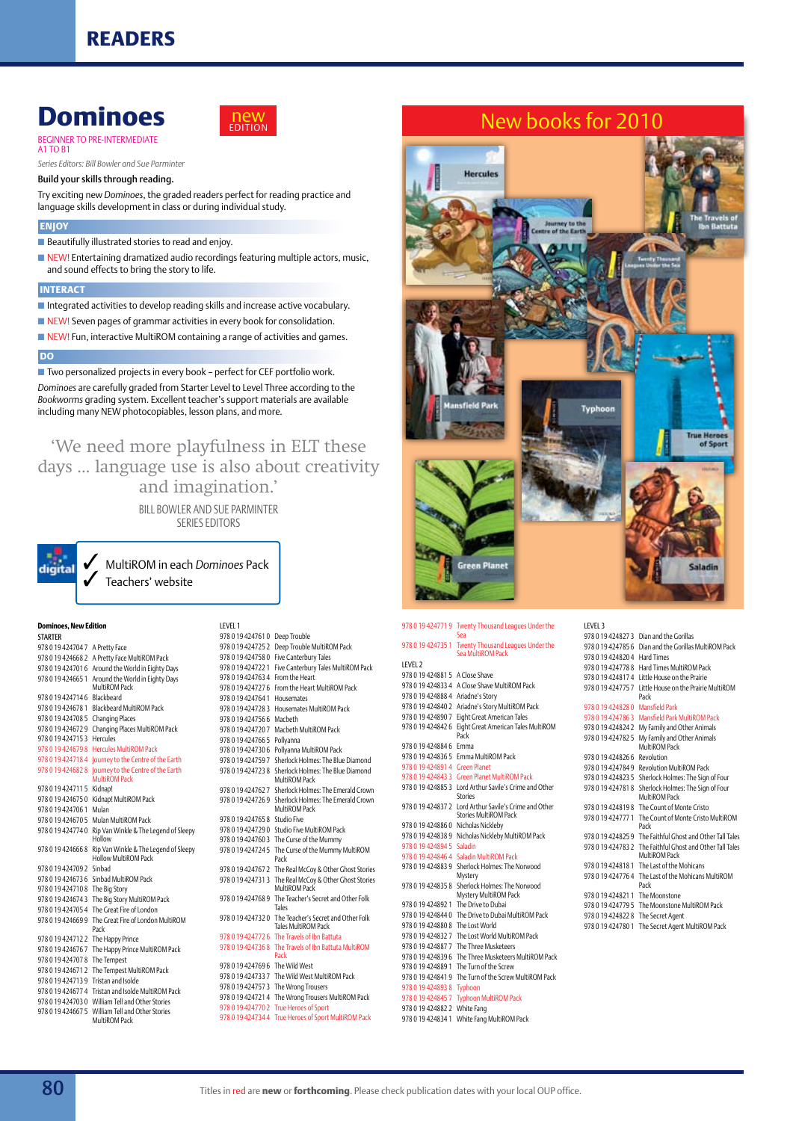### **Dominoes** Beginner to Pre-intermediate



A1 to B1 *Series Editors: Bill Bowler and Sue Parminter*

Build your skills through reading.

Try exciting new *Dominoes*, the graded readers perfect for reading practice and language skills development in class or during individual study.

#### **Enjoy**

■ Beautifully illustrated stories to read and enjoy.

 $\blacksquare$  NEW! Entertaining dramatized audio recordings featuring multiple actors, music, and sound effects to bring the story to life.

#### **Interact**

 $\blacksquare$  Integrated activities to develop reading skills and increase active vocabulary.

■ NEW! Seven pages of grammar activities in every book for consolidation.

 $\blacksquare$  NEW! Fun, interactive MultiROM containing a range of activities and games.

#### **DO**

■ Two personalized projects in every book - perfect for CEF portfolio work. *Dominoes* are carefully graded from Starter Level to Level Three according to the *Bookworms* grading system. Excellent teacher's support materials are available

including many NEW photocopiables, lesson plans, and more.

'We need more playfulness in ELT these days ... language use is also about creativity

and imagination.'

Bill Bowler and Sue Parminter Series Editors

3 MultiROM in each *Dominoes* Pack Teachers' website

#### **Dominoes, New Edition STARTER**

digital

| 978 0 19 424704 7     | A Pretty Face                                                        |
|-----------------------|----------------------------------------------------------------------|
| 978 0 19 424668 2     | A Pretty Face MultiROM Pack                                          |
| 978 0 19 424701 6     | Around the World in Eighty Days                                      |
| 978 0 19 424665 1     | Around the World in Eighty Days                                      |
|                       | MultiROM Pack                                                        |
| 9780194247146         | <b>Blackbeard</b>                                                    |
| 978 0 19 424678 1     | <b>Blackbeard MultiROM Pack</b>                                      |
| 9780194247085         | <b>Changing Places</b>                                               |
| 9780194246729         | Changing Places MultiROM Pack                                        |
| 978 0 19 4 24 7 1 5 3 | Hercules                                                             |
| 9780194246798         | <b>Hercules MultiROM Pack</b>                                        |
| 978 0 19 424718 4     | Journey to the Centre of the Earth                                   |
| 978 0 19 424682 8     | Journey to the Centre of the Earth<br>MultiROM Pack                  |
| 978 0 19 424711 5     | Kidnap!                                                              |
| 978 0 19 424675 0     | Kidnap! MultiROM Pack                                                |
| 978 0 19 424706 1     | Mulan                                                                |
| 978 0 19 424670 5     | Mulan MultiROM Pack                                                  |
| 9780194247740         | Rip Van Winkle & The Legend of Sleepy<br>Hollow                      |
| 978 0 19 424666 8     | Rip Van Winkle & The Legend of Sleepy<br><b>Hollow MultiROM Pack</b> |
| 9780194247092         | Sinbad                                                               |
| 9780194246736         | Sinbad MultiROM Pack                                                 |
| 9780194247108         | The Big Story                                                        |
| 978 0 19 42 4674 3    | The Big Story MultiROM Pack                                          |
| 978 0 19 424705 4     | The Great Fire of London                                             |
| 9780194246699         | The Great Fire of London MultiROM<br>Pack                            |
| 978 0 19 424712 2     | The Happy Prince                                                     |
| 978 0 19 424676 7     | The Happy Prince MultiROM Pack                                       |
| 978 0 19 424707 8     | The Tempest                                                          |
| 978 0 19 424671 2     | The Tempest MultiROM Pack                                            |
| 9780194247139         | <b>Tristan and Isolde</b>                                            |
| 978 0 19 424677 4     | Tristan and Isolde MultiROM Pack                                     |
| 9780194247030         | William Tell and Other Stories                                       |
| 978 0 19 424667 5     | William Tell and Other Stories<br>MultiROM Pack                      |

Level 1 978 0 19 424761 0 Deep Trouble 978 0 19 424725 2 Deep Trouble MultiROM Pack 978 0 19 424758 0 Five Canterbury Tales 978 0 19 424722 1 Five Canterbury Tales MultiROM Pack 978 0 19 424763 4 From the Heart 978 0 19 424727 6 From the Heart MultiROM Pack 978 0 19 424764 1 Housemates 978 0 19 424728 3 Housemates MultiROM Pack 978 0 19 424756 6 Macbeth 978 0 19 424720 7 Macbeth MultiROM Pack 978 0 19 424766 5 Pollyanna 978 0 19 424730 6 Pollyanna MultiROM Pack 978 0 19 424759 7 Sherlock Holmes: The Blue Diamond 978 0 19 424723 8 Sherlock Holmes: The Blue Diamond MultiROM Pack 978 0 19 424762 7 Sherlock Holmes: The Emerald Crown 978 0 19 424726 9 Sherlock Holmes: The Emerald Crown MultiROM Pack 978 0 19 424765 8 Studio Five 978 0 19 424729 0 Studio Five MultiROM Pack 978 0 19 424760 3 The Curse of the Mummy 978 0 19 424724 5 The Curse of the Mummy MultiROM Pack 978 0 19 424767 2 The Real McCoy & Other Ghost Stories 978 0 19 424731 3 The Real McCoy & Other Ghost Stories MultiROM Pack 978 0 19 424768 9 The Teacher's Secret and Other Folk Tales 978 0 19 424732 0 The Teacher's Secret and Other Folk Tales MultiROM Pack 978 0 19 424772 6 The Travels of Ibn Battuta 978 0 19 424736 8 The Travels of Ibn Battuta MultiROM Pack 978 0 19 424769 6 The Wild West 978 0 19 424733 7 The Wild West MultiROM Pack 978 0 19 424757 3 The Wrong Trousers 978 0 19 424721 4 The Wrong Trousers MultiROM Pack

978 0 19 424770 2 True Heroes of Sport 978 0 19 424734 4 True Heroes of Sport MultiROM Pack



#### 978 0 19 424771 9 Twenty Thousand Leagues Under the Sea 978 0 19 424735 1 Twenty Thousand Leagues Under the Sea MultiROM Pack Level 2 978 0 19 424881 5 A Close Shave 978 0 19 424833 4 A Close Shave MultiROM Pack 978 0 19 424888 4 Ariadne's Story 978 0 19 424840 2 Ariadne's Story MultiROM Pack 978 0 19 424890 7 Eight Great American Tales 978 0 19 424842 6 Eight Great American Tales MultiROM Pack 978 0 19 424884 6 Emma 978 0 19 424836 5 Emma MultiROM Pack 978 0 19 424891 4 Green Planet 978 0 19 424843 3 Green Planet MultiROM Pack 978 0 19 424885 3 Lord Arthur Savile's Crime and Other Stories 978 0 19 424837 2 Lord Arthur Savile's Crime and Other Stories MultiROM Pack 978 0 19 424886 0 Nicholas Nickleby 978 0 19 424838 9 Nicholas Nickleby MultiROM Pack 978 0 19 424894 5 Saladin 978 0 19 424846 4 Saladin MultiROM Pack 978 0 19 424883 9 Sherlock Holmes: The Norwood Mystery 978 0 19 424835 8 Sherlock Holmes: The Norwood Mystery MultiROM Pack 978 0 19 424892 1 The Drive to Dubai 978 0 19 424844 0 The Drive to Dubai MultiROM Pack 978 0 19 424880 8 The Lost World 978 0 19 424832 7 The Lost World MultiROM Pack 978 0 19 424887 7 The Three Musketeers 978 0 19 424839 6 The Three Musketeers MultiROM Pack

978 0 19 424889 1 The Turn of the Screw 978 0 19 424841 9 The Turn of the Screw MultiROM Pack 978 0 19 424893 8 Typhoon 978 0 19 424845 7 Typhoon MultiROM Pack 978 0 19 424882 2 White Fang

978 0 19 424834 1 White Fang MultiROM Pack

| LEVEL 3           |                                                                            |
|-------------------|----------------------------------------------------------------------------|
| 978 0 19 424827 3 | Dian and the Gorillas                                                      |
| 9780194247856     | Dian and the Gorillas MultiROM Pack                                        |
| 9780194248204     | Hard Times                                                                 |
| 9780194247788     | Hard Times MultiROM Pack                                                   |
| 9780194248174     | Little House on the Prairie                                                |
| 9780194247757     | Little House on the Prairie MultiROM<br>Pack                               |
| 9780194248280     | <b>Mansfield Park</b>                                                      |
| 978 0 19 424786 3 | Mansfield Park MultiROM Pack                                               |
| 9780194248242     | My Family and Other Animals                                                |
| 9780194247825     | My Family and Other Animals<br>MultiROM Pack                               |
| 9780194248266     | Revolution                                                                 |
| 9780194247849     | Revolution MultiROM Pack                                                   |
| 978 0 19 424823 5 | Sherlock Holmes: The Sign of Four                                          |
| 9780194247818     | Sherlock Holmes: The Sign of Four<br>MultiROM Pack                         |
|                   | 978 0 19 424819 8 The Count of Monte Cristo                                |
| 978 0 19 424777 1 | The Count of Monte Cristo MultiROM<br>Pack                                 |
|                   | 978 0 19 424825 9 The Faithful Ghost and Other Tall Tales                  |
|                   | 978 0 19 424783 2 The Faithful Ghost and Other Tall Tales<br>MultiROM Pack |
| 978 0 19 424818 1 | The Last of the Mohicans                                                   |
| 9780194247764     | The Last of the Mohicans MultiROM<br>Pack                                  |
| 9780194248211     | The Moonstone                                                              |
| 9780194247795     | The Moonstone MultiROM Pack                                                |
| 9780194248228     | The Secret Agent                                                           |
| 9780194247801     | The Secret Agent MultiROM Pack                                             |
|                   |                                                                            |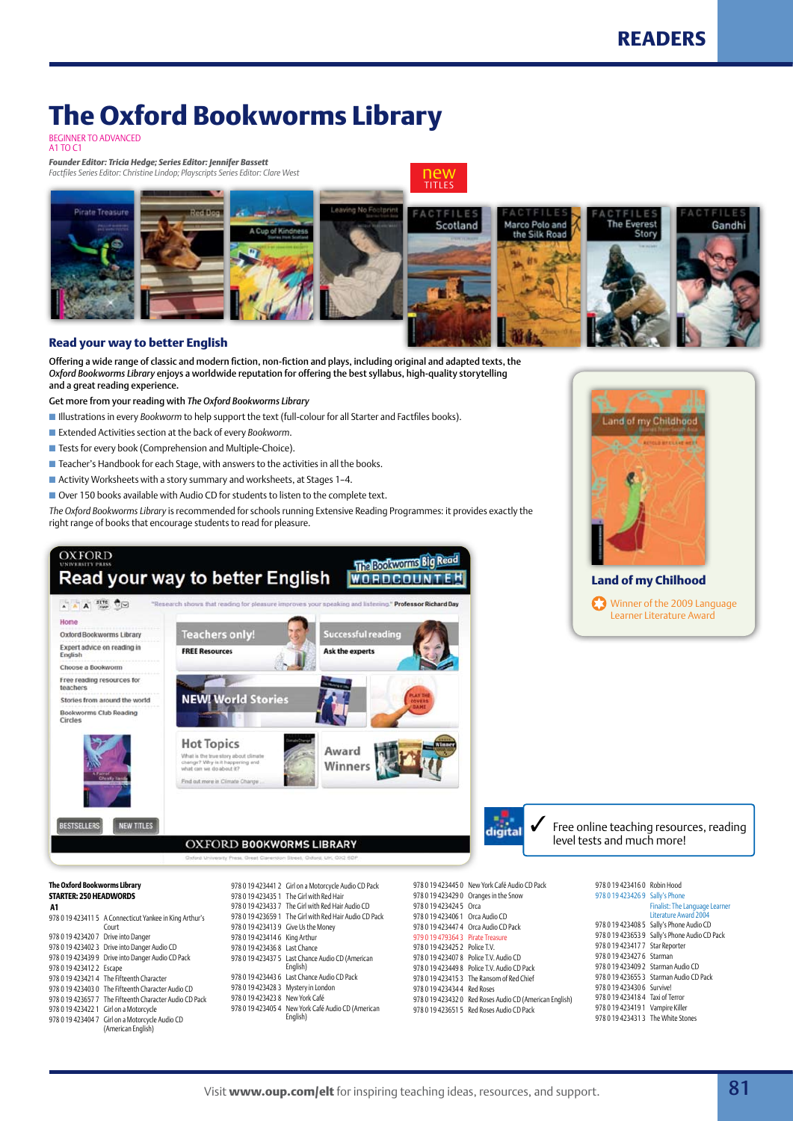## **The Oxford Bookworms Library**

BEGINNER TO AD<br>A1 TO C1

*Founder Editor: Tricia Hedge; Series Editor: Jennifer Bassett Factfiles Series Editor: Christine Lindop; Playscripts Series Editor: Clare West*



#### **Read your way to better English**

Offering a wide range of classic and modern fiction, non-fiction and plays, including original and adapted texts, the *Oxford Bookworms Library* enjoys a worldwide reputation for offering the best syllabus, high-quality storytelling and a great reading experience.

Get more from your reading with *The Oxford Bookworms Library*

- **n** Illustrations in every *Bookworm* to help support the text (full-colour for all Starter and Factfiles books).
- Extended Activities section at the back of every *Bookworm*.
- Tests for every book (Comprehension and Multiple-Choice).
- $\blacksquare$  Teacher's Handbook for each Stage, with answers to the activities in all the books.
- $\blacksquare$  Activity Worksheets with a story summary and worksheets, at Stages 1-4.
- $\blacksquare$  Over 150 books available with Audio CD for students to listen to the complete text.

*The Oxford Bookworms Library* is recommended for schools running Extensive Reading Programmes: it provides exactly the right range of books that encourage students to read for pleasure.





#### **Land of my Chilhood** Winner of the 2009 Language Learner Literature Award

digital

Free online teaching resources, reading level tests and much more!

#### **The Oxford Bookworms Library STARTER: 250 HEADWORDS**

#### **A1**

| AI                                  |                                                         |
|-------------------------------------|---------------------------------------------------------|
|                                     | 978 0 19 423411 5 A Connecticut Yankee in King Arthur's |
|                                     | Court                                                   |
| 978 0 19 423420 7 Drive into Danger |                                                         |
|                                     | 978 0 19 423402 3 Drive into Danger Audio CD            |
|                                     | 978 0 19 423439 9 Drive into Danger Audio CD Pack       |
| 978 0 19 423412 2 Escape            |                                                         |
|                                     | 978 0 19 423421 4 The Fifteenth Character               |
|                                     | 978 0 19 423403 0 The Fifteenth Character Audio CD      |
|                                     | 978 0 19 423657 7 The Fifteenth Character Audio CD Pack |
|                                     | 978 0 19 423422 1 Girl on a Motorcycle                  |
|                                     | 978 0 19 423404 7 Girl on a Motorcycle Audio CD         |
|                                     | (American English)                                      |

978 0 19 423441 2 Girl on a Motorcycle Audio CD Pack 978 0 19 423435 1 The Girl with Red Hair 978 0 19 423433 7 The Girl with Red Hair Audio CD 978 0 19 423659 1 The Girl with Red Hair Audio CD Pack 978 0 19 423413 9 Give Us the Money 978 0 19 423414 6 King Arthur 978 0 19 423436 8 Last Chance 978 0 19 423437 5 Last Chance Audio CD (American English) 978 0 19 423443 6 Last Chance Audio CD Pack 978 0 19 423428 3 Mystery in London 978 0 19 423423 8 New York Café 978 0 19 423405 4 New York Café Audio CD (American English)

978 0 19 423445 0 New York Café Audio CD Pack 978 0 19 423429 0 Oranges in the Snow 978 0 19 423424 5 Orca 978 0 19 423406 1 Orca Audio CD 978 0 19 423447 4 Orca Audio CD Pack 979 0 19 479364 3 Pirate Tre 978 0 19 423425 2 Police T.V. 978 0 19 423407 8 Police T.V. Audio CD 978 0 19 423449 8 Police T.V. Audio CD Pack 978 0 19 423415 3 The Ransom of Red Chief 978 0 19 423434 4 Red Roses 978 0 19 423432 0 Red Roses Audio CD (American English) 978 0 19 423651 5 Red Roses Audio CD Pack

| 978 0 19 423416 0 Robin Hood       |                                                         |
|------------------------------------|---------------------------------------------------------|
| 978 0 19 423426 9 Sally's Phone    |                                                         |
|                                    | Finalist: The Language Learner<br>Literature Award 2004 |
|                                    | 978 0 19 423408 5 Sally's Phone Audio CD                |
|                                    | 978 0 19 423653 9 Sally's Phone Audio CD Pack           |
| 978 0 19 423417 7 Star Reporter    |                                                         |
| 978 0 19 423427 6 Starman          |                                                         |
| 978 0 19 423409 2 Starman Audio CD |                                                         |
|                                    | 978 0 19 423655 3 Starman Audio CD Pack                 |
| 978 0 19 423430 6 Survivel         |                                                         |
| 978 0 19 423418 4 Taxi of Terror   |                                                         |
| 978 0 19 423419 1 Vampire Killer   |                                                         |
| 978 0 19 423431 3 The White Stones |                                                         |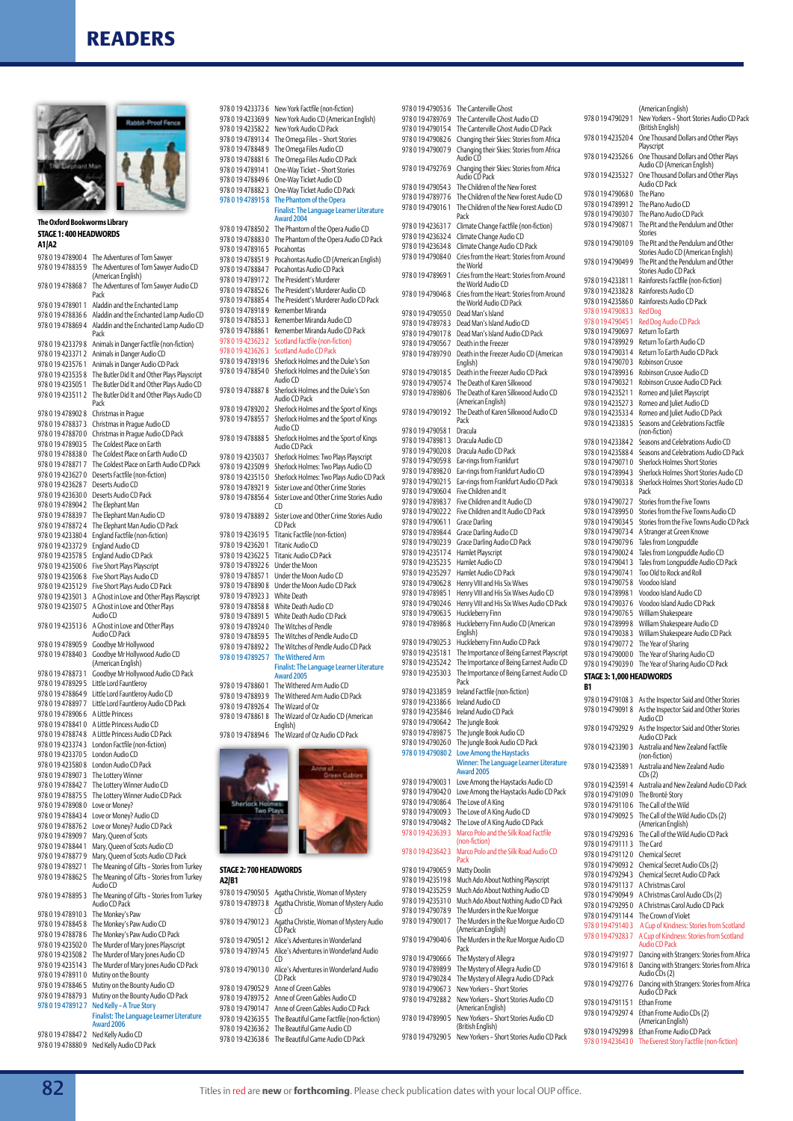

#### **The Oxford Bookworms Library STAGE 1: 400 HEADWORDS**

| A1 A2                                      |                                                                                                   |
|--------------------------------------------|---------------------------------------------------------------------------------------------------|
| 978 0 19 478900 4                          | The Adventures of Tom Sawyer                                                                      |
| 978 0 19 47 88 35 9                        | The Adventures of Tom Sawyer Audio CD<br>(American English)                                       |
| 978 0 19 478868 7                          | The Adventures of Tom Sawyer Audio CD<br>Pack                                                     |
| 978 0 19 47 8901 1                         | Aladdin and the Enchanted Lamp                                                                    |
| 978 0 19 47 88 36 6                        | Aladdin and the Enchanted Lamp Audio CD                                                           |
| 978 0 19 478869 4                          | Aladdin and the Enchanted Lamp Audio CD<br>Pack                                                   |
| 978 0 19 423379 8                          | Animals in Danger Factfile (non-fiction)                                                          |
| 978 0 19 423371 2<br>978 0 19 423576 1     | Animals in Danger Audio CD<br>Animals in Danger Audio CD Pack                                     |
| 978 0 19 423535 8                          | The Butler Did It and Other Plays Playscript                                                      |
| 978 0 19 423505 1                          | The Butler Did It and Other Plays Audio CD                                                        |
| 978 0 19 423511 2                          | The Butler Did It and Other Plays Audio CD<br>Pack                                                |
| 978 0 19 47 890 2 8<br>978 0 19 47 88 37 3 | Christmas in Praque<br>Christmas in Prague Audio CD                                               |
| 978 0 19 47 8 70 0                         | Christmas in Prague Audio CD Pack                                                                 |
| 978 0 19 478903 5                          | The Coldest Place on Earth                                                                        |
| 978 0 19 47 88 38 0                        | The Coldest Place on Earth Audio CD                                                               |
| 978 0 19 47 8 8 7 1 7                      | The Coldest Place on Earth Audio CD Pack                                                          |
| 978 0 19 423627 0                          | Deserts Factfile (non-fiction)                                                                    |
| 978 0 19 423628 7                          | Deserts Audio CD                                                                                  |
| 978 0 19 423630 0<br>978 0 19 478904 2     | Deserts Audio CD Pack<br>The Elephant Man                                                         |
| 978 0 19 47 88 39 7                        | The Elephant Man Audio CD                                                                         |
| 978 0 19 47 872 4                          | The Elephant Man Audio CD Pack                                                                    |
| 978 0 19 423380 4                          | England Factfile (non-fiction)                                                                    |
| 978 0 19 423372 9                          | England Audio CD                                                                                  |
| 978 0 19 423578 5                          | England Audio CD Pack                                                                             |
| 978 0 19 423500 6                          | Five Short Plays Playscript                                                                       |
| 978 0 19 423506 8<br>978 0 19 423512 9     | Five Short Plays Audio CD<br>Five Short Plays Audio CD Pack                                       |
| 978 0 19 4235013                           | A Ghost in Love and Other Plays Playscript                                                        |
| 978 0 19 423507 5                          | A Ghost in Love and Other Plays                                                                   |
| 9780194235136                              | Audio CD<br>A Ghost in Love and Other Plays                                                       |
| 978 0 19 478905 9                          | Audio CD Pack<br>Goodbye Mr Hollywood                                                             |
| 978 0 19 478840 3                          | Goodbye Mr Hollywood Audio CD                                                                     |
|                                            | (American English)                                                                                |
| 978 0 19 478873 1                          | Goodbye Mr Hollywood Audio CD Pack                                                                |
| 978 0 19 47 89 29 5<br>978 0 19 478864 9   | Little Lord Fauntleroy                                                                            |
| 978 0 19 478897 7                          | Little Lord Fauntleroy Audio CD<br>Little Lord Fauntleroy Audio CD Pack                           |
| 978 0 19 478906 6                          | A Little Princess                                                                                 |
| 978 0 19 4788410                           | A Little Princess Audio CD                                                                        |
| 978 0 19 47 874 8                          | A Little Princess Audio CD Pack                                                                   |
| 978 0 19 423374 3                          | London Factfile (non-fiction)                                                                     |
| 978 0 19 423370 5                          | London Audio CD                                                                                   |
| 978 0 19 423580 8<br>978 0 19 478907 3     | London Audio CD Pack<br>The Lottery Winner                                                        |
| 978 0 19 47 8 8 4 2 7                      | The Lottery Winner Audio CD                                                                       |
| 978 0 19 478875 5                          | The Lottery Winner Audio CD Pack                                                                  |
| 978 0 19 478908 0                          | Love or Money?                                                                                    |
| 978 0 19 47 8 8 4 3 4                      | Love or Money? Audio CD                                                                           |
| 978 0 19 478876 2                          | Love or Money? Audio CD Pack                                                                      |
| 978 0 19 478909 7<br>978 0 19 47 8844 1    | Mary, Queen of Scots                                                                              |
| 978 0 19 478877 9                          | Mary, Queen of Scots Audio CD<br>Mary, Queen of Scots Audio CD Pack                               |
| 978 0 19 478927 1                          | The Meaning of Gifts - Stories from Turkey                                                        |
| 978 0 19 47 8862 5                         | The Meaning of Gifts - Stories from Turkey<br>Audio CD                                            |
| 978 0 19 47 88 95 3                        | The Meaning of Gifts - Stories from Turkey<br>Audio CD Pack                                       |
| 978 0 19 478910 3                          | The Monkey's Paw                                                                                  |
| 978 0 19 478845 8<br>978 0 19 478878 6     | The Monkey's Paw Audio CD<br>The Monkey's Paw Audio CD Pack                                       |
| 978 0 19 4235020                           | The Murder of Mary Jones Playscript                                                               |
| 978 0 19 423508 2                          | The Murder of Mary Jones Audio CD                                                                 |
| 978 0 19 423514 3                          | The Murder of Mary Jones Audio CD Pack                                                            |
| 978 0 19 47 8911 0                         | Mutiny on the Bounty                                                                              |
| 978 0 19 478846 5                          | Mutiny on the Bounty Audio CD                                                                     |
| 9780194788793                              | Mutiny on the Bounty Audio CD Pack                                                                |
| 9780194789127                              | Ned Kelly - A True Story<br><b>Finalist: The Language Learner Literature</b><br><b>Award 2006</b> |
| 978 0 19 47 8847 2                         | Ned Kelly Audio CD                                                                                |
| 9780194788809                              | Ned Kelly Audio CD Pack                                                                           |

| 978 0 19 423373 6                  | New York Factfile (non-fiction)                                             |
|------------------------------------|-----------------------------------------------------------------------------|
| 978 0 19 423369 9                  | New York Audio CD (American English)                                        |
| 978 0 19 423582 2                  | New York Audio CD Pack                                                      |
| 9780194789134                      | The Omega Files - Short Stories                                             |
| 9780194788489                      | The Omega Files Audio CD                                                    |
| 9780194788816                      | The Omega Files Audio CD Pack                                               |
| 9780194789141                      | One-Way Ticket - Short Stories                                              |
| 978 0 19 478849 6<br>9780194788823 | One-Way Ticket Audio CD                                                     |
| 978 0 19 4789158                   | One-Way Ticket Audio CD Pack<br>The Phantom of the Opera                    |
|                                    | <b>Finalist: The Language Learner Literature</b>                            |
|                                    | Award 2004                                                                  |
| 978 0 19 478850 2                  | The Phantom of the Opera Audio CD                                           |
| 9780194788830                      | The Phantom of the Opera Audio CD Pack                                      |
| 9780194789165                      | Pocahontas                                                                  |
| 9780194788519                      | Pocahontas Audio CD (American English)                                      |
| 9780194788847                      | Pocahontas Audio CD Pack                                                    |
| 9780194789172                      | The President's Murderer                                                    |
| 9780194788526                      | The President's Murderer Audio CD                                           |
| 9780194788854<br>9780194789189     | The President's Murderer Audio CD Pack<br>Remember Miranda                  |
| 978 0 19 478853 3                  | Remember Miranda Audio CD                                                   |
| 978 0 19 4788861                   | Remember Miranda Audio CD Pack                                              |
| 978 0 19 423623 2                  | Scotland Factfile (non-fiction)                                             |
| 978 0 19 4236263                   | <b>Scotland Audio CD Pack</b>                                               |
| 9780194789196                      | Sherlock Holmes and the Duke's Son                                          |
| 9780194788540                      | Sherlock Holmes and the Duke's Son                                          |
|                                    | Audio CD                                                                    |
| 9780194788878                      | Sherlock Holmes and the Duke's Son                                          |
| 978 0 19 478920 2                  | Audio CD Pack<br>Sherlock Holmes and the Sport of Kings                     |
| 9780194788557                      | Sherlock Holmes and the Sport of Kings<br>Audio CD                          |
| 9780194788885                      | Sherlock Holmes and the Sport of Kings<br>Audio CD Pack                     |
| 978 0 19 423503 7                  | Sherlock Holmes: Two Plays Playscript                                       |
| 978 0 19 423509 9                  | Sherlock Holmes: Two Plays Audio CD                                         |
| 9780194235150                      | Sherlock Holmes: Two Plays Audio CD Pack                                    |
| 978 0 19 478921 9                  | Sister Love and Other Crime Stories                                         |
| 9780194788564                      | Sister Love and Other Crime Stories Audio                                   |
|                                    | CD.                                                                         |
| 978 0 19 478889 2                  | Sister Love and Other Crime Stories Audio<br>CD Pack                        |
| 978 0 19 423619 5                  | Titanic Factfile (non-fiction)                                              |
| 978 0 19 423620 1                  | <b>Titanic Audio CD</b>                                                     |
|                                    |                                                                             |
| 978 0 19 423622 5                  | <b>Titanic Audio CD Pack</b>                                                |
| 978 0 19 478922 6                  | Under the Moon                                                              |
| 978 0 19 47 8857 1                 | Under the Moon Audio CD                                                     |
| 978 0 19 478890 8                  | Under the Moon Audio CD Pack                                                |
| 978 0 19 478923 3                  | <b>White Death</b>                                                          |
| 9780194788588                      | White Death Audio CD                                                        |
| 978 0 19 478891 5                  | White Death Audio CD Pack                                                   |
| 9780194789240                      | The Witches of Pendle                                                       |
| 978 0 19 478859 5                  | The Witches of Pendle Audio CD                                              |
| 978 0 19 478892 2                  | The Witches of Pendle Audio CD Pack                                         |
| 978 0 19 478925 7                  | <b>The Withered Arm</b><br><b>Finalist: The Language Learner Literature</b> |
|                                    | <b>Award 2005</b>                                                           |
| 978 0 19 478 860 1                 | The Withered Arm Audio CD                                                   |
| 9780194788939                      | The Withered Arm Audio CD Pack                                              |
| 9780194789264                      | The Wizard of Oz                                                            |
| 9780194788618                      | The Wizard of Oz Audio CD (American                                         |
| 9780194788946                      | English)<br>The Wizard of Oz Audio CD Pack                                  |
|                                    |                                                                             |
|                                    |                                                                             |
|                                    |                                                                             |
|                                    |                                                                             |
|                                    |                                                                             |
|                                    |                                                                             |
|                                    |                                                                             |
|                                    |                                                                             |
|                                    |                                                                             |
|                                    |                                                                             |
| STAGE 2: 700 HEADWORDS             |                                                                             |
| A2/B1                              |                                                                             |
| 978 0 19 479050 5                  | Agatha Christie, Woman of Mystery                                           |
| 9780194789738                      | Agatha Christie, Woman of Mystery Audio                                     |
|                                    | CD                                                                          |
| 9780194790123                      | Agatha Christie, Woman of Mystery Audio<br>CD Pack                          |
| 978 0 19 4790512                   | Alice's Adventures in Wonderland                                            |

|                                    | Award 2004                                                                                          |                                      | rack                                                                       |
|------------------------------------|-----------------------------------------------------------------------------------------------------|--------------------------------------|----------------------------------------------------------------------------|
|                                    | 978 0 19 478850 2 The Phantom of the Opera Audio CD                                                 |                                      | 9780194236317 Climate Change Factfile (non-fiction)                        |
|                                    | 978 0 19 478883 0 The Phantom of the Opera Audio CD Pack                                            |                                      | 978 0 19 423632 4 Climate Change Audio CD                                  |
| 9780194789165                      | Pocahontas                                                                                          |                                      | 978 0 19 423634 8 Climate Change Audio CD Pack                             |
| 9780194788519                      | Pocahontas Audio CD (American English)                                                              | 9780194790840                        | Cries from the Heart: Stories from Around<br>the World                     |
| 9780194788847                      | Pocahontas Audio CD Pack                                                                            |                                      | 9780194789691 Cries from the Heart: Stories from Around                    |
| 9780194789172                      | The President's Murderer                                                                            |                                      | the World Audio CD                                                         |
| 9780194788526                      | The President's Murderer Audio CD                                                                   | 9780194790468                        | Cries from the Heart: Stories from Around                                  |
| 9780194788854                      | The President's Murderer Audio CD Pack                                                              |                                      | the World Audio CD Pack                                                    |
| 9780194789189                      | Remember Miranda                                                                                    | 978 0 19 479055 0 Dead Man's Island  |                                                                            |
| 9780194788533                      | Remember Miranda Audio CD                                                                           |                                      | 978 0 19 478978 3 Dead Man's Island Audio CD                               |
| 9780194788861                      | Remember Miranda Audio CD Pack                                                                      |                                      | 978 0 19 479017 8 Dead Man's Island Audio CD Pack                          |
| 9780194236232                      | <b>Scotland Factfile (non-fiction)</b>                                                              |                                      | 978 0 19 479056 7 Death in the Freezer                                     |
| 9780194236263                      | <b>Scotland Audio CD Pack</b>                                                                       |                                      | 9780194789790 Death in the Freezer Audio CD (American                      |
| 9780194789196                      | Sherlock Holmes and the Duke's Son                                                                  |                                      | English)                                                                   |
|                                    | 978 0 19 478854 0 Sherlock Holmes and the Duke's Son                                                |                                      | 978 0 19 479018 5 Death in the Freezer Audio CD Pack                       |
|                                    | Audio CD                                                                                            |                                      | 9780194790574 The Death of Karen Silkwood                                  |
| 9780194788878                      | Sherlock Holmes and the Duke's Son                                                                  | 9780194789806                        | The Death of Karen Silkwood Audio CD                                       |
|                                    | Audio CD Pack                                                                                       |                                      | (American English)                                                         |
|                                    | 978 0 19 478920 2 Sherlock Holmes and the Sport of Kings                                            |                                      | 978 0 19 479019 2 The Death of Karen Silkwood Audio CD                     |
|                                    | 978 0 19 478855 7 Sherlock Holmes and the Sport of Kings<br>Audio CD                                |                                      | Pack                                                                       |
|                                    |                                                                                                     | 978 0 19 479058 1 Dracula            |                                                                            |
| 9780194788885                      | Sherlock Holmes and the Sport of Kings<br>Audio CD Pack                                             | 978 0 19 478981 3 Dracula Audio CD   |                                                                            |
| 9780194235037                      | Sherlock Holmes: Two Plays Playscript                                                               |                                      | 978 0 19 479020 8 Dracula Audio CD Pack                                    |
|                                    | 978 0 19 423509 9 Sherlock Holmes: Two Plays Audio CD                                               | 9780194790598                        | Ear-rings from Frankfurt                                                   |
| 9780194235150                      | Sherlock Holmes: Two Plays Audio CD Pack                                                            | 9780194789820                        | Ear-rings from Frankfurt Audio CD                                          |
|                                    | 978 0 19 478921 9 Sister Love and Other Crime Stories                                               | 9780194790215                        | Ear-rings from Frankfurt Audio CD Pack                                     |
|                                    | 978 0 19 478856 4 Sister Love and Other Crime Stories Audio                                         | 9780194790604                        | Five Children and It                                                       |
|                                    | C <sub>D</sub>                                                                                      | 9780194789837                        | Five Children and It Audio CD                                              |
|                                    | 978 0 19 478889 2 Sister Love and Other Crime Stories Audio                                         | 9780194790222                        | Five Children and It Audio CD Pack                                         |
|                                    | CD Pack                                                                                             | 9780194790611                        | <b>Grace Darling</b>                                                       |
| 978 0 19 423619 5                  | Titanic Factfile (non-fiction)                                                                      | 9780194789844                        | Grace Darling Audio CD                                                     |
| 9780194236201                      | Titanic Audio CD                                                                                    | 9780194790239                        | Grace Darling Audio CD Pack                                                |
| 9780194236225                      | Titanic Audio CD Pack                                                                               | 9780194235174                        | Hamlet Playscript                                                          |
| 9780194789226                      | Under the Moon                                                                                      | 978 0 19 423523 5 Hamlet Audio CD    |                                                                            |
| 9780194788571                      | Under the Moon Audio CD                                                                             | 9780194235297                        | Hamlet Audio CD Pack                                                       |
|                                    | 978 0 19 478890 8 Under the Moon Audio CD Pack                                                      | 9780194790628                        | Henry VIII and His Six Wives                                               |
| 978 0 19 478923 3 White Death      |                                                                                                     | 9780194789851                        | Henry VIII and His Six Wives Audio CD                                      |
|                                    | 978 0 19 478858 8 White Death Audio CD                                                              | 9780194790246                        | Henry VIII and His Six Wives Audio CD Pack                                 |
| 9780194788915                      | White Death Audio CD Pack                                                                           | 9780194790635                        | Huckleberry Finn                                                           |
|                                    | 978 0 19 4789240 The Witches of Pendle                                                              | 9780194789868                        | Huckleberry Finn Audio CD (American                                        |
|                                    | 978 0 19 478859 5 The Witches of Pendle Audio CD                                                    |                                      | English)                                                                   |
|                                    |                                                                                                     |                                      |                                                                            |
|                                    |                                                                                                     | 9780194790253                        | Huckleberry Finn Audio CD Pack                                             |
|                                    | 978 0 19 478892 2 The Witches of Pendle Audio CD Pack                                               | 9780194235181                        | The Importance of Being Earnest Playscript                                 |
| 978 0 19 478925 7 The Withered Arm |                                                                                                     | 9780194235242                        | The Importance of Being Earnest Audio CD                                   |
|                                    | <b>Finalist: The Language Learner Literature</b>                                                    | 9780194235303                        | The Importance of Being Earnest Audio CD                                   |
|                                    | Award 2005                                                                                          |                                      | Pack                                                                       |
| 9780194788601                      | The Withered Arm Audio CD                                                                           | 9780194233859                        | Ireland Factfile (non-fiction)                                             |
| 9780194788939                      | The Withered Arm Audio CD Pack                                                                      | 9780194233866                        | Ireland Audio CD                                                           |
| 9780194789264                      | The Wizard of Oz                                                                                    | 9780194235846                        | Ireland Audio CD Pack                                                      |
| 9780194788618                      | The Wizard of Oz Audio CD (American                                                                 | 9780194790642                        | The Jungle Book                                                            |
|                                    | English)                                                                                            | 9780194789875                        | The Jungle Book Audio CD                                                   |
|                                    | 978 0 19 478894 6 The Wizard of Oz Audio CD Pack                                                    | 9780194790260                        | The Jungle Book Audio CD Pack                                              |
|                                    |                                                                                                     | 9780194790802                        | <b>Love Among the Haystacks</b>                                            |
|                                    |                                                                                                     |                                      | Winner: The Language Learner Literature                                    |
|                                    | Green Gabler                                                                                        |                                      | Award 2005                                                                 |
|                                    |                                                                                                     | 9780194790031                        | Love Among the Haystacks Audio CD                                          |
|                                    |                                                                                                     | 9780194790420                        | Love Among the Haystacks Audio CD Pack                                     |
| <b>Sherlock Ho</b>                 |                                                                                                     | 978 0 19 479086 4 The Love of A King |                                                                            |
| Two Play                           |                                                                                                     |                                      | 9780194790093 The Love of A King Audio CD                                  |
|                                    |                                                                                                     |                                      | 978 0 19 479048 2 The Love of A King Audio CD Pack                         |
|                                    |                                                                                                     | 9780194236393                        | Marco Polo and the Silk Road Factfile                                      |
|                                    |                                                                                                     |                                      | (non-fiction)                                                              |
|                                    |                                                                                                     | 9780194236423                        | Marco Polo and the Silk Road Audio CD                                      |
| <b>STAGE 2: 700 HEADWORDS</b>      |                                                                                                     |                                      | Pack                                                                       |
|                                    |                                                                                                     | 9780194790659                        | Matty Doolin                                                               |
| A2/B1                              |                                                                                                     | 9780194235198                        | Much Ado About Nothing Playscript                                          |
|                                    | 978 0 19 479050 5 Agatha Christie, Woman of Mystery                                                 | 9780194235259                        | Much Ado About Nothing Audio CD                                            |
| 9780194789738                      | Agatha Christie, Woman of Mystery Audio                                                             | 9780194235310                        | Much Ado About Nothing Audio CD Pack                                       |
|                                    | CD                                                                                                  | 9780194790789                        | The Murders in the Rue Morque                                              |
|                                    | 978 0 19 479012 3 Agatha Christie, Woman of Mystery Audio                                           | 9780194790017                        | The Murders in the Rue Morque Audio CD                                     |
|                                    | CD Pack                                                                                             |                                      | (American English)                                                         |
|                                    | 978 0 19 479051 2 Alice's Adventures in Wonderland                                                  |                                      | 978 0 19 479040 6 The Murders in the Rue Morgue Audio CD<br>Pack           |
|                                    | 978 0 19 478974 5 Alice's Adventures in Wonderland Audio<br>CD                                      |                                      |                                                                            |
|                                    |                                                                                                     | 9780194790666<br>9780194789899       | The Mystery of Allegra                                                     |
|                                    | 978 0 19 479013 0 Alice's Adventures in Wonderland Audio<br>CD Pack                                 |                                      | The Mystery of Allegra Audio CD                                            |
|                                    | 978 0 19 479052 9 Anne of Green Gables                                                              | 9780194790284                        | The Mystery of Allegra Audio CD Pack                                       |
|                                    | 978 0 19 478975 2 Anne of Green Gables Audio CD                                                     | 9780194790673                        | New Yorkers - Short Stories                                                |
|                                    |                                                                                                     | 9780194792882                        | New Yorkers - Short Stories Audio CD                                       |
|                                    | 978 0 19 479014 7 Anne of Green Gables Audio CD Pack                                                |                                      | (American English)                                                         |
|                                    | 978 0 19 423635 5 The Beautiful Game Factfile (non-fiction)                                         |                                      | 9780 19 478990 5 New Yorkers - Short Stories Audio CD<br>(British English) |
|                                    | 978 0 19 423636 2 The Beautiful Game Audio CD<br>978 0 19 423638 6 The Beautiful Game Audio CD Pack |                                      | 978 0 19 479290 5 New Yorkers - Short Stories Audio CD Pack                |

| 978 0 19 478976 9 The Canterville Ghost Audio CD | 978 0 19 479053 6 The Canterville Ghost                                          |                                       |                                                                                         |
|--------------------------------------------------|----------------------------------------------------------------------------------|---------------------------------------|-----------------------------------------------------------------------------------------|
|                                                  |                                                                                  | 978 0 19 479029 1                     | (American English)<br>New Yorkers - Short Stories Audio CD Pack                         |
|                                                  | 978 0 19 479015 4 The Canterville Ghost Audio CD Pack                            |                                       | (British English)                                                                       |
| 9780194790826                                    | Changing their Skies: Stories from Africa                                        | 978 0 19 423520 4                     | One Thousand Dollars and Other Plays                                                    |
|                                                  |                                                                                  |                                       | Playscript                                                                              |
|                                                  | 978 0 19 479007 9 Changing their Skies: Stories from Africa<br>Audio CD          | 9780194235266                         | One Thousand Dollars and Other Plays                                                    |
| 9780194792769                                    | Changing their Skies: Stories from Africa                                        |                                       | Audio CD (American English)                                                             |
|                                                  | Audio CD Pack                                                                    | 9780194235327                         | One Thousand Dollars and Other Plays                                                    |
|                                                  | 978 0 19 479054 3 The Children of the New Forest                                 |                                       | Audio CD Pack                                                                           |
|                                                  | 9780194789776 The Children of the New Forest Audio CD                            | 978 0 19 479068 0 The Piano           |                                                                                         |
| 9780194790161                                    | The Children of the New Forest Audio CD                                          |                                       | 978 0 19 4789912 The Piano Audio CD                                                     |
|                                                  | Pack                                                                             | 9780194790307                         | The Piano Audio CD Pack                                                                 |
| 9780194236317                                    | Climate Change Factfile (non-fiction)                                            | 978 0 19 479087 1                     | The Pit and the Pendulum and Other                                                      |
|                                                  | 978 0 19 423632 4 Climate Change Audio CD                                        |                                       | <b>Stories</b>                                                                          |
| 9780194236348                                    | Climate Change Audio CD Pack                                                     | 9780194790109                         | The Pit and the Pendulum and Other                                                      |
|                                                  | 9780194790840 Cries from the Heart: Stories from Around                          |                                       | Stories Audio CD (American English)                                                     |
|                                                  | the World                                                                        |                                       | 978 0 19 479049 9 The Pit and the Pendulum and Other<br>Stories Audio CD Pack           |
| 9780194789691                                    | Cries from the Heart: Stories from Around                                        | 978 0 19 4233811                      | Rainforests Factfile (non-fiction)                                                      |
|                                                  | the World Audio CD                                                               | 9780194233828                         | Rainforests Audio CD                                                                    |
|                                                  | 9780194790468 Cries from the Heart: Stories from Around                          | 9780194235860                         | Rainforests Audio CD Pack                                                               |
|                                                  | the World Audio CD Pack                                                          | 9780194790833                         | <b>Red Dog</b>                                                                          |
| 978 0 19 479055 0 Dead Man's Island              |                                                                                  | 978 0 19 479045 1                     | Red Dog Audio CD Pack                                                                   |
| 9780194789783                                    | Dead Man's Island Audio CD                                                       | 9780194790697                         | Return To Earth                                                                         |
|                                                  | 978 0 19 479017 8 Dead Man's Island Audio CD Pack                                |                                       | Return To Earth Audio CD                                                                |
|                                                  | 978 0 19 479056 7 Death in the Freezer                                           | 9780194789929                         |                                                                                         |
| 9780194789790                                    | Death in the Freezer Audio CD (American                                          | 9780194790314                         | Return To Earth Audio CD Pack                                                           |
|                                                  | English)                                                                         | 978 0 19 479070 3                     | Robinson Crusoe<br>Robinson Crusoe Audio CD                                             |
| 9780194790185                                    | Death in the Freezer Audio CD Pack                                               | 9780194789936                         |                                                                                         |
| 9780194790574                                    | The Death of Karen Silkwood<br>The Death of Karen Silkwood Audio CD              | 978 0 19 479032 1                     | Robinson Crusoe Audio CD Pack                                                           |
| 9780194789806                                    | (American English)                                                               | 978 0 19 4235211                      | Romeo and Juliet Playscript                                                             |
|                                                  | 9780194790192 The Death of Karen Silkwood Audio CD                               | 978 0 19 423527 3                     | Romeo and Juliet Audio CD                                                               |
|                                                  | Pack                                                                             | 978 0 19 4 23 5 3 3 4                 | Romeo and Juliet Audio CD Pack                                                          |
| 978 0 19 479058 1 Dracula                        |                                                                                  | 978 0 19 423383 5                     | Seasons and Celebrations Factfile<br>(non-fiction)                                      |
| 978 0 19 478981 3 Dracula Audio CD               |                                                                                  | 9780194233842                         | Seasons and Celebrations Audio CD                                                       |
| 9780194790208                                    | Dracula Audio CD Pack                                                            | 9780194235884                         | Seasons and Celebrations Audio CD Pack                                                  |
| 9780194790598                                    | Ear-rings from Frankfurt                                                         | 9780194790710                         | Sherlock Holmes Short Stories                                                           |
| 9780194789820                                    | Ear-rings from Frankfurt Audio CD                                                | 9780194789943                         | Sherlock Holmes Short Stories Audio CD                                                  |
| 9780194790215                                    | Ear-rings from Frankfurt Audio CD Pack                                           | 9780194790338                         | Sherlock Holmes Short Stories Audio CD                                                  |
|                                                  | 978 0 19 479060 4 Five Children and It                                           |                                       | Pack                                                                                    |
| 9780194789837                                    | Five Children and It Audio CD                                                    | 9780194790727                         | Stories from the Five Towns                                                             |
|                                                  | 978 0 19 479022 2 Five Children and It Audio CD Pack                             | 9780194789950                         | Stories from the Five Towns Audio CD                                                    |
| 9780194790611                                    | <b>Grace Darling</b>                                                             | 978 0 19 4790345                      | Stories from the Five Towns Audio CD Pack                                               |
|                                                  | 978 0 19 478984 4 Grace Darling Audio CD                                         | 978 0 19 479073 4                     | A Stranger at Green Knowe                                                               |
| 9780194790239                                    | Grace Darling Audio CD Pack                                                      | 9780194790796                         | Tales from Longpuddle                                                                   |
| 9780194235174                                    | Hamlet Playscript                                                                | 978 0 19 479002 4                     | Tales from Longpuddle Audio CD                                                          |
| 9780194235235                                    | Hamlet Audio CD                                                                  | 978 0 19 4790413                      | Tales from Longpuddle Audio CD Pack                                                     |
| 9780194235297                                    | Hamlet Audio CD Pack                                                             | 978 0 19 479074 1                     | Too Old to Rock and Roll                                                                |
| 9780194790628                                    | Henry VIII and His Six Wives                                                     | 9780194790758                         | Voodoo Island                                                                           |
| 9780194789851                                    | Henry VIII and His Six Wives Audio CD                                            | 9780194789981                         | Voodoo Island Audio CD                                                                  |
| 9780194790246                                    | Henry VIII and His Six Wives Audio CD Pack                                       | 978 0 19 4790376                      | Voodoo Island Audio CD Pack                                                             |
| 9780194790635                                    | Huckleberry Finn                                                                 | 9780194790765                         | William Shakespeare                                                                     |
| 9780194789868                                    | Huckleberry Finn Audio CD (American                                              | 9780194789998                         | William Shakespeare Audio CD                                                            |
|                                                  | English)                                                                         | 9780194790383                         | William Shakespeare Audio CD Pack                                                       |
|                                                  |                                                                                  |                                       |                                                                                         |
| 9780194790253                                    |                                                                                  |                                       |                                                                                         |
| 9780194235181                                    | Huckleberry Finn Audio CD Pack                                                   | 978 0 19 479077 2 The Year of Sharing |                                                                                         |
|                                                  | The Importance of Being Earnest Playscript                                       |                                       | 978 0 19 479000 0 The Year of Sharing Audio CD                                          |
| 9780194235242<br>9780194235303                   | The Importance of Being Earnest Audio CD                                         |                                       | 978 0 19 479039 0 The Year of Sharing Audio CD Pack                                     |
|                                                  | The Importance of Being Earnest Audio CD<br>Pack                                 | STAGE 3: 1,000 HEADWORDS              |                                                                                         |
|                                                  | 978 0 19 423385 9 Ireland Factfile (non-fiction)                                 | <b>B1</b>                             |                                                                                         |
| 9780194233866                                    | Ireland Audio CD                                                                 |                                       | 978 0 19 479108 3 As the Inspector Said and Other Stories                               |
| 9780194235846                                    | Ireland Audio CD Pack                                                            |                                       | 978 0 19 479091 8 As the Inspector Said and Other Stories                               |
| 9780194790642                                    | The Jungle Book                                                                  |                                       | Audio CD                                                                                |
| 9780194789875                                    | The Jungle Book Audio CD                                                         | 978 0 19 479 292 9                    | As the Inspector Said and Other Stories                                                 |
| 9780194790260                                    | The Jungle Book Audio CD Pack                                                    |                                       | Audio CD Pack                                                                           |
|                                                  | 978 0 19 479080 2 Love Among the Haystacks                                       |                                       | 978 0 19 423390 3 Australia and New Zealand Factfile                                    |
|                                                  | Winner: The Language Learner Literature                                          |                                       | (non-fiction)                                                                           |
|                                                  | Award 2005                                                                       | 9780194235891                         | Australia and New Zealand Audio<br>CDs(2)                                               |
| 9780194790031                                    | Love Among the Haystacks Audio CD                                                |                                       | 978 0 19 423591 4 Australia and New Zealand Audio CD Pack                               |
| 9780194790420                                    | Love Among the Haystacks Audio CD Pack                                           | 978 0 19 4791090 The Brontë Story     |                                                                                         |
| 9780194790864                                    | The Love of A King                                                               |                                       | 978 0 19 479110 6 The Call of the Wild                                                  |
| 9780194790093                                    | The Love of A King Audio CD                                                      |                                       | 978 0 19 479092 5 The Call of the Wild Audio CDs (2)                                    |
| 9780194790482                                    | The Love of A King Audio CD Pack                                                 |                                       | (American English)                                                                      |
| 9780194236393                                    | Marco Polo and the Silk Road Factfile                                            | 978 0 19 479 293 6                    | The Call of the Wild Audio CD Pack                                                      |
|                                                  | (non-fiction)                                                                    | 9780194791113                         | The Card                                                                                |
|                                                  | 978 0 19 423642 3 Marco Polo and the Silk Road Audio CD                          | 978 0 19 4791120 Chemical Secret      |                                                                                         |
|                                                  | Pack                                                                             |                                       | 978 0 19 479093 2 Chemical Secret Audio CDs (2)                                         |
| 9780194790659                                    | Matty Doolin                                                                     |                                       | 978 0 19 479294 3 Chemical Secret Audio CD Pack                                         |
| 9780194235198                                    | Much Ado About Nothing Playscript                                                | 978 0 19 479113 7 A Christmas Carol   |                                                                                         |
| 9780194235259                                    | Much Ado About Nothing Audio CD                                                  |                                       | 978 0 19 479094 9 A Christmas Carol Audio CDs (2)                                       |
| 9780194235310                                    | Much Ado About Nothing Audio CD Pack                                             |                                       | 978 0 19 479295 0 A Christmas Carol Audio CD Pack                                       |
| 9780194790789                                    | The Murders in the Rue Morque                                                    |                                       | 978 0 19 4791144 The Crown of Violet                                                    |
| 9780194790017                                    | The Murders in the Rue Morque Audio CD                                           |                                       | 978 0 19 479140 3 A Cup of Kindness: Stories from Scotland                              |
|                                                  | (American English)                                                               | 9780194792837                         | A Cup of Kindness: Stories from Scotland                                                |
|                                                  | 9780194790406 The Murders in the Rue Morque Audio CD<br>Pack                     |                                       | Audio CD Pack                                                                           |
|                                                  | 978 0 19 479066 6 The Mystery of Allegra                                         | 9780194791977                         | Dancing with Strangers: Stories from Africa                                             |
| 9780194789899                                    | The Mystery of Allegra Audio CD                                                  |                                       | 978 0 19 479161 8 Dancing with Strangers: Stories from Africa                           |
| 9780194790284                                    | The Mystery of Allegra Audio CD Pack                                             |                                       | Audio CDs (2)                                                                           |
| 9780194790673                                    | New Yorkers - Short Stories                                                      | 978 0 19 479 277 6                    | Dancing with Strangers: Stories from Africa                                             |
| 9780194792882                                    | New Yorkers - Short Stories Audio CD                                             |                                       | Audio CD Pack                                                                           |
|                                                  | (American English)                                                               | 9780194791151                         | Ethan Frome                                                                             |
| 9780194789905                                    | New Yorkers - Short Stories Audio CD                                             | 978 0 19 479 297 4                    | Ethan Frome Audio CDs (2)<br>(American English)                                         |
|                                                  | (British English)<br>978 0 19 479290 5 New Yorkers - Short Stories Audio CD Pack | 9780194792998                         | Ethan Frome Audio CD Pack<br>978 0 19 423643 0 The Everest Story Factfile (non-fiction) |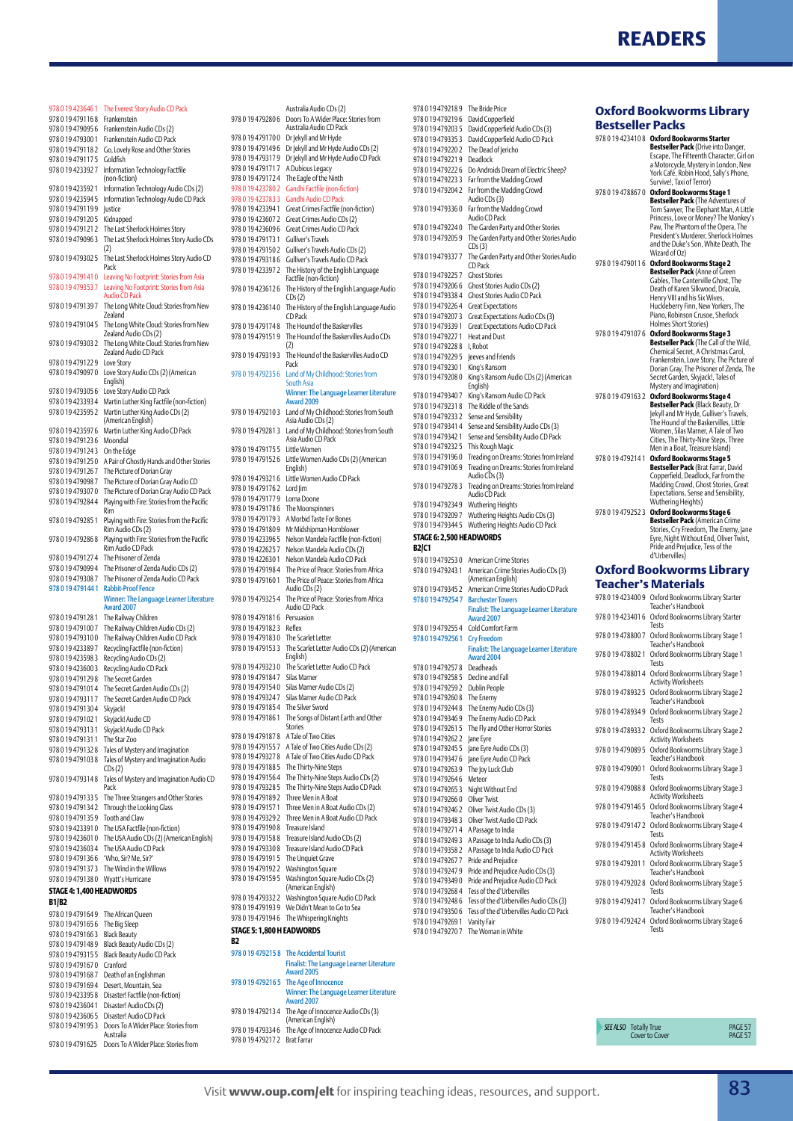

| 978 0 19 423646 1        | The Everest Story Audio CD Pack                                  |
|--------------------------|------------------------------------------------------------------|
| 978 0 19 4791 16 8       | Frankenstein                                                     |
| 978 0 19 479095 6        | Frankenstein Audio CDs (2)                                       |
| 978 0 19 479300 1        | Frankenstein Audio CD Pack                                       |
|                          |                                                                  |
| 978 0 19 479118 2        | Go, Lovely Rose and Other Stories                                |
| 978 0 19 479117 5        | Goldfish                                                         |
| 978 0 19 423392 7        | Information Technology Factfile                                  |
|                          | (non-fiction)                                                    |
| 978 0 19 423592 1        | Information Technology Audio CDs (2)                             |
| 978 0 19 423594 5        | Information Technology Audio CD Pack                             |
| 9780194791199            | <b>Justice</b>                                                   |
| 978 0 19 479120 5        |                                                                  |
|                          | Kidnapped                                                        |
| 978 0 19 479121 2        | The Last Sherlock Holmes Story                                   |
| 978 0 19 479096 3        | The Last Sherlock Holmes Story Audio CDs                         |
|                          | (2)                                                              |
| 978 0 19 479302 5        | The Last Sherlock Holmes Story Audio CD                          |
|                          | Pack                                                             |
| 978 0 19 4791410         | Leaving No Footprint: Stories from Asia                          |
| 978 0 19 479353 7        | Leaving No Footprint: Stories from Asia                          |
|                          | <b>Audio CD Pack</b>                                             |
| 978 0 19 479139 7        | The Long White Cloud: Stories from New                           |
|                          | Zealand                                                          |
| 978 0 19 479104 5        |                                                                  |
|                          | The Long White Cloud: Stories from New                           |
|                          | Zealand Audio CDs (2)                                            |
| 978 0 19 479303 2        | The Long White Cloud: Stories from New                           |
|                          | Zealand Audio CD Pack                                            |
| 978 0 19 479122 9        | Love Story                                                       |
| 978 0 19 4790970         | Love Story Audio CDs (2) (American                               |
|                          | English)                                                         |
| 978 0 19 479305 6        | Love Story Audio CD Pack                                         |
| 978 0 19 423393 4        | Martin Luther King Factfile (non-fiction)                        |
| 978 0 19 423595 2        | Martin Luther King Audio CDs (2)                                 |
|                          | (American English)                                               |
| 978 0 19 423597 6        | Martin Luther King Audio CD Pack                                 |
|                          |                                                                  |
| 978 0 19 479123 6        | Moondial                                                         |
| 978 0 19 479124 3        | On the Edge                                                      |
| 978 0 19 479125 0        | A Pair of Ghostly Hands and Other Stories                        |
| 978 0 19 479126 7        | The Picture of Dorian Gray                                       |
| 978 0 19 479098 7        | The Picture of Dorian Gray Audio CD                              |
| 978 0 19 4793070         | The Picture of Dorian Gray Audio CD Pack                         |
| 978 0 19 479284 4        | Playing with Fire: Stories from the Pacific                      |
|                          | Rim                                                              |
| 978 0 19 479285 1        |                                                                  |
|                          | Playing with Fire: Stories from the Pacific<br>Rim Audio CDs (2) |
|                          |                                                                  |
| 978 0 19 479286 8        | Playing with Fire: Stories from the Pacific                      |
|                          | Rim Audio CD Pack                                                |
| 978 0 19 479127 4        | The Prisoner of Zenda                                            |
|                          |                                                                  |
| 978 0 19 479099 4        | The Prisoner of Zenda Audio CDs (2)                              |
| 978 0 19 479308 7        |                                                                  |
|                          | The Prisoner of Zenda Audio CD Pack                              |
| 9780194791441            | <b>Rabbit-Proof Fence</b>                                        |
|                          | Winner: The Language Learner Literature                          |
|                          | Award 2007                                                       |
| 978 0 19 479128 1        | The Railway Children                                             |
| 978 0 19 479100 7        | The Railway Children Audio CDs (2)                               |
| 978 0 19 4793100         | The Railway Children Audio CD Pack                               |
| 978 0 19 423389 7        | Recycling Factfile (non-fiction)                                 |
| 978 0 19 423598 3        | Recycling Audio CDs (2)                                          |
| 978 0 19 423600 3        |                                                                  |
|                          | Recycling Audio CD Pack                                          |
| 978 0 19 479129 8        | The Secret Garden                                                |
| 978 0 19 479101 4        | The Secret Garden Audio CDs (2)                                  |
| 978 0 19 4793117         | The Secret Garden Audio CD Pack                                  |
| 978 0 19 479130 4        | Skyjack!                                                         |
| 978 0 19 479102 1        | Skyjack! Audio CD                                                |
| 978 0 19 479313 1        | Skyjack! Audio CD Pack                                           |
| 978 0 19 479131 1        | The Star Zoo                                                     |
| 978 0 19 479132 8        | Tales of Mystery and Imagination                                 |
| 978 0 19 4791038         |                                                                  |
|                          | Tales of Mystery and Imagination Audio<br>CDs(2)                 |
| 978 0 19 47 9 3 14 8     |                                                                  |
|                          | Tales of Mystery and Imagination Audio CD<br>Pack                |
|                          |                                                                  |
| 978 0 19 479133 5        | The Three Strangers and Other Stories                            |
| 978 0 19 479134 2        | Through the Looking Glass                                        |
| 978 0 19 479135 9        | Tooth and Claw                                                   |
| 978 0 19 423391 0        | The USA Factfile (non-fiction)                                   |
| 978 0 19 4236010         | The USA Audio CDs (2) (American English)                         |
| 978 0 19 423603 4        | The USA Audio CD Pack                                            |
| 978 0 19 479136 6        | 'Who, Sir? Me, Sir?'                                             |
| 978 0 19 479137 3        | The Wind in the Willows                                          |
| 978 0 19 479138 0        | Wyatt's Hurricane                                                |
|                          |                                                                  |
| STAGE 4: 1,400 HEADWORDS |                                                                  |
| B1/B2                    |                                                                  |
| 978 0 19 479164 9        | The African Queen                                                |
| 978 0 19 479165 6        | The Big Sleep                                                    |
| 978 0 19 479166 3        |                                                                  |
|                          | <b>Black Beauty</b>                                              |
| 978 0 19 479148 9        | Black Beauty Audio CDs (2)                                       |
| 978 0 19 479315 5        | Black Beauty Audio CD Pack                                       |
| 978 0 19 4791670         | Cranford                                                         |
| 978 0 19 479168 7        | Death of an Englishman                                           |
| 978 0 19 479169 4        | Desert, Mountain, Sea                                            |
| 978 0 19 423395 8        | Disaster! Factfile (non-fiction)                                 |
| 978 0 19 423604 1        | Disaster! Audio CDs (2)                                          |

978 0 19 479195 3 Doors To A Wider Place: Stories from Australia 978 0 19 4791625 Doors To A Wider Place: Stories from

| 9780194792806             | Australia Audio CDs (2)<br>Doors To A Wider Place: Stories from |
|---------------------------|-----------------------------------------------------------------|
|                           | Australia Audio CD Pack                                         |
| 9780194791700             |                                                                 |
|                           | Dr Jekyll and Mr Hyde                                           |
| 9780194791496             | Dr Jekyll and Mr Hyde Audio CDs (2)                             |
| 9780194793179             | Dr Jekyll and Mr Hyde Audio CD Pack                             |
| 9780194791717             | A Dubious Legacy                                                |
| 9780194791724             | The Eagle of the Ninth                                          |
| 9780194237802             | Gandhi Factfile (non-fiction)                                   |
| 9780194237833             | Gandhi Audio CD Pack                                            |
|                           |                                                                 |
| 978 0 19 423394 1         | Great Crimes Factfile (non-fiction)                             |
| 978 0 19 423 607 2        | Great Crimes Audio CDs (2)                                      |
| 9780194236096             | Great Crimes Audio CD Pack                                      |
| 978 0 19 479 173 1        | Gulliver's Travels                                              |
| 9780194791502             | Gulliver's Travels Audio CDs (2)                                |
| 9780194793186             | Gulliver's Travels Audio CD Pack                                |
| 978 0 19 423397 2         | The History of the English Language                             |
|                           | Factfile (non-fiction)                                          |
|                           |                                                                 |
| 9780194236126             | The History of the English Language Audio                       |
|                           | CDs(2)                                                          |
| 9780194236140             | The History of the English Language Audio                       |
|                           | CD Pack                                                         |
| 9780194791748             | The Hound of the Baskervilles                                   |
| 9780194791519             | The Hound of the Baskervilles Audio CDs                         |
|                           | (2)                                                             |
| 9780194793193             | The Hound of the Baskervilles Audio CD                          |
|                           | Pack                                                            |
| 9780194792356             | Land of My Childhood: Stories from                              |
|                           | South Asia                                                      |
|                           | Winner: The Language Learner Literature                         |
|                           | <b>Award 2009</b>                                               |
| 9780194792103             |                                                                 |
|                           | Land of My Childhood: Stories from South<br>Asia Audio CDs (2)  |
|                           |                                                                 |
| 9780194792813             | Land of My Childhood: Stories from South                        |
|                           | Asia Audio CD Pack                                              |
| 9780194791755             | I ittle Women                                                   |
| 9780194791526             | Little Women Audio CDs (2) (American                            |
|                           | English)                                                        |
| 9780194793216             | Little Women Audio CD Pack                                      |
| 9780194791762             | Lord Jim                                                        |
| 9780194791779             | Lorna Doone                                                     |
| 9780194791786             | The Moonspinners                                                |
|                           |                                                                 |
| 9780194791793             | A Morbid Taste For Bones                                        |
| 9780194791809             | Mr Midshipman Hornblower                                        |
| 9780194233965             | Nelson Mandela Factfile (non-fiction)                           |
| 978 0 19 422625 7         | Nelson Mandela Audio CDs (2)                                    |
| 978 0 19 422630 1         | Nelson Mandela Audio CD Pack                                    |
| 9780194791984             | The Price of Peace: Stories from Africa                         |
|                           | The Price of Peace: Stories from Africa                         |
|                           |                                                                 |
| 9780194791601             |                                                                 |
|                           | Audio CDs (2)                                                   |
| 978 0 19 4793254          | The Price of Peace: Stories from Africa                         |
|                           | Audio CD Pack                                                   |
| 9780194791816             | Persuasion                                                      |
| 9780194791823             | Reflex                                                          |
| 9780194791830             | The Scarlet Letter                                              |
| 9780194791533             | The Scarlet Letter Audio CDs (2) (American                      |
|                           | English)                                                        |
| 9780194793230             |                                                                 |
|                           | The Scarlet Letter Audio CD Pack                                |
| 9780194791847             | Silas Marner                                                    |
| 9780194791540             | Silas Marner Audio CDs (2)                                      |
| 9780194793247             | Silas Marner Audio CD Pack                                      |
| 9780194791854             | The Silver Sword                                                |
| 978 0 19 479 1861         | The Songs of Distant Earth and Other                            |
|                           | Stories                                                         |
| 9780194791878             | A Tale of Two Cities                                            |
| 9780194791557             | A Tale of Two Cities Audio CDs (2)                              |
| 9780194793278             | A Tale of Two Cities Audio CD Pack                              |
| 9780194791885             |                                                                 |
|                           | The Thirty-Nine Steps                                           |
| 9780194791564             | The Thirty-Nine Steps Audio CDs (2)                             |
| 978 0 19 479328 5         | The Thirty-Nine Steps Audio CD Pack                             |
| 9780194791892             | Three Men in A Boat                                             |
| 9780194791571             | Three Men in A Boat Audio CDs (2)                               |
| 9780194793292             | Three Men in A Boat Audio CD Pack                               |
| 9780194791908             | Treasure Island                                                 |
| 9780194791588             | Treasure Island Audio CDs (2)                                   |
| 9780194793308             | Treasure Island Audio CD Pack                                   |
|                           |                                                                 |
| 978 0 19 479 1915         | The Unquiet Grave                                               |
| 9780194791922             | Washington Square                                               |
| 9780194791595             | Washington Square Audio CDs (2)                                 |
|                           | (American English)                                              |
| 9780194793322             | Washington Square Audio CD Pack                                 |
| 9780194791939             | We Didn't Mean to Go to Sea                                     |
| 978 0 19 479 1946         | The Whispering Knights                                          |
|                           |                                                                 |
| STAGE 5: 1,800 H EADWORDS |                                                                 |
| B2                        |                                                                 |
| 978 0 19 4792158          | <b>The Accidental Tourist</b>                                   |
|                           | <b>Finalist: The Language Learner Literature</b>                |
|                           | <b>Award 2005</b>                                               |
| 978 0 19 479216 5         | The Age of Innocence                                            |
|                           | Winner: The Language Learner Literature                         |
|                           | <b>Award 2007</b>                                               |
| 9780194792134             | The Age of Innocence Audio CDs (3)                              |
|                           | (American English)                                              |

|                        | 9780194792035               | David Co              |
|------------------------|-----------------------------|-----------------------|
|                        | 9780194793353               | David Co              |
| o CDs (2)              | 9780194792202               | The Dea               |
| CD Pack כ              | 9780194792219               | Deadloc               |
|                        | 9780194792226               | Do Andr               |
|                        | 9780194792233               | Far from              |
| I)                     |                             |                       |
|                        | 9780194792042               | Far from<br>Audio CI  |
|                        |                             |                       |
| fiction)               | 9780194793360               | Far from              |
| I                      |                             | Audio CI              |
| k                      | 9780194792240               | The Gard              |
|                        | 9780194792059               | The Gard              |
| i (2)                  |                             | CDs(3)                |
| Pack                   | 9780194793377               | The Gard              |
|                        |                             | CD Pack               |
| anguage                | 9780194792257               | <b>Ghost St</b>       |
|                        | 978 0 19 479206 6           | <b>Ghost St</b>       |
| anguage Audio          | 9780194793384               | <b>Ghost St</b>       |
|                        | 9780194792264               | Great Ex              |
| anguage Audio          |                             |                       |
|                        | 9780194792073               | <b>Great Ex</b>       |
| les                    | 9780194793391               | <b>Great Ex</b>       |
| les Audio CDs          | 9780194792271               | Heat and              |
|                        | 9780194792288               | I, Robot              |
| les Audio CD           | 978 0 19 479229 5           | eeves ar              |
|                        | 978 0 19 479230 1           | King's Ra             |
| ies from               | 9780194792080               | King's Ra             |
|                        |                             | English)              |
| <b>Imer Literature</b> | 9780194793407               | King's Ra             |
|                        |                             |                       |
| ies from South         | 978 0 19 4792318            | The Ridd              |
|                        | 9780194792332               | Sense an              |
| ies from South         | 9780194793414               | Sense an              |
|                        | 9780194793421               | Sense an              |
|                        | 9780194792325               | This Rou              |
|                        | 9780194791960               | Treading              |
| (American              | 9780194791069               | Treading              |
|                        |                             | Audio CI              |
| :k                     | 9780194792783               | Treading              |
|                        |                             | Audio CI              |
|                        |                             | Wutheri               |
|                        | 9780194792349               |                       |
|                        | 9780194792097               | Wutheri               |
| Pŗ                     | 9780194793445               | Wutheri               |
| on-fiction)            | STAGE 6: 2,500 HEADWOI      |                       |
| (2)                    | B2 C1                       |                       |
|                        |                             |                       |
|                        |                             |                       |
| Pack                   | 9780194792530               | America               |
| rom Africa             | 978 0 19 479243 1           | America               |
| rom Africa             |                             | (America              |
|                        | 978 0 19 479345 2           | America               |
| rom Africa             | 978 0 19 4792547            | <b>Barchest</b>       |
|                        |                             | Finalist:             |
|                        |                             | Award 2               |
|                        | 9780194792554               | Cold Cor              |
|                        | 978 0 19 4792561            | <b>Cry Free</b>       |
|                        |                             |                       |
| s (2) (American        |                             | Finalist:             |
|                        |                             | Award 2               |
| Pack                   | 9780194792578               | Deadhea               |
|                        | 9780194792585               | Decline a             |
|                        | 9780194792592               | Dublin P              |
| $\frac{1}{2}$          | 9780194792608               | The Ener              |
|                        | 9780194792448               | The Ener              |
| and Other              | 9780194793469               | The Ener              |
|                        | 978 0 19 47 9 261 5         | The Fly a             |
|                        | 9780194792622               | Jane Eyre             |
| DS(2)                  | 9780194792455               | Jane Eyre             |
| D Pack                 |                             |                       |
|                        | 9780194793476               | Jane Eyre             |
|                        | 9780194792639               | The Joy L             |
| o CDs (2)              | 9780194792646               | Meteor                |
| o CD Pack              | 9780194792653               | Night W               |
|                        | 9780194792660               | Oliver Tv             |
| CDs (2)                | 9780194792462               | Oliver Tv             |
| CD Pack                | 9780194793483               | Oliver Tv             |
|                        | 9780194792714               | A Passag              |
| 2)                     | 9780194792493               |                       |
| ack                    | 9780194793582               | A Passag              |
|                        |                             | A Passag<br>Pride and |
|                        | 9780194792677               |                       |
|                        | 978 0 19 479247 9 Pride and |                       |
| CDs (2)                | 9780194793490               | Pride and             |
|                        | 9780194792684               | Tess of th            |
| CD Pack                | 9780194792486               | Tess of th            |
| bs                     | 9780194793506               | Tess of th            |
|                        | 9780194792691               | Vanity Fa             |
|                        | 9780194792707 The Wor       |                       |
|                        |                             |                       |
|                        |                             |                       |
|                        |                             |                       |
| rner Literature        |                             |                       |
|                        |                             |                       |

| 9780194792189            | The Bride Price                           |
|--------------------------|-------------------------------------------|
|                          |                                           |
| 9780194792196            | David Copperfield                         |
| 9780194792035            | David Copperfield Audio CDs (3)           |
| 9780194793353            | David Copperfield Audio CD Pack           |
|                          |                                           |
| 9780194792202            | The Dead of Jericho                       |
| 9780194792219            | Deadlock                                  |
| 9780194792226            | Do Androids Dream of Electric Sheep?      |
| 9780194792233            | Far from the Madding Crowd                |
|                          |                                           |
| 9780194792042            | Far from the Madding Crowd                |
|                          | Audio CDs (3)                             |
| 9780194793360            | Far from the Madding Crowd                |
|                          | Audio CD Pack                             |
| 9780194792240            | The Garden Party and Other Stories        |
|                          |                                           |
| 9780194792059            | The Garden Party and Other Stories Audio  |
|                          | CDs(3)                                    |
| 9780194793377            | The Garden Party and Other Stories Audio  |
|                          | CD Pack                                   |
| 9780194792257            | <b>Ghost Stories</b>                      |
| 9780194792066            | Ghost Stories Audio CDs (2)               |
|                          |                                           |
| 9780194793384            | Ghost Stories Audio CD Pack               |
| 9780194792264            | <b>Great Expectations</b>                 |
| 9780194792073            | Great Expectations Audio CDs (3)          |
| 9780194793391            | Great Expectations Audio CD Pack          |
|                          |                                           |
| 9780194792271            | Heat and Dust                             |
| 9780194792288            | I, Robot                                  |
| 9780194792295            | Jeeves and Friends                        |
| 9780194792301            | King's Ransom                             |
|                          |                                           |
| 9780194792080            | King's Ransom Audio CDs (2) (American     |
|                          | English)                                  |
| 9780194793407            | King's Ransom Audio CD Pack               |
| 9780194792318            | The Riddle of the Sands                   |
| 9780194792332            | Sense and Sensibility                     |
|                          |                                           |
| 9780194793414            | Sense and Sensibility Audio CDs (3)       |
| 9780194793421            | Sense and Sensibility Audio CD Pack       |
| 9780194792325            | This Rough Magic                          |
| 9780194791960            | Treading on Dreams: Stories from Ireland  |
| 9780194791069            | Treading on Dreams: Stories from Ireland  |
|                          | Audio CDs (3)                             |
|                          |                                           |
| 9780194792783            | Treading on Dreams: Stories from Ireland  |
|                          | Audio CD Pack                             |
| 9780194792349            | Wuthering Heights                         |
| 9780194792097            | Wuthering Heights Audio CDs (3)           |
|                          |                                           |
|                          |                                           |
| 9780194793445            | Wuthering Heights Audio CD Pack           |
| STAGE 6: 2,500 HEADWORDS |                                           |
| B2/C1                    |                                           |
|                          |                                           |
| 9780194792530            | American Crime Stories                    |
| 9780194792431            | American Crime Stories Audio CDs (3)      |
|                          | (American English)                        |
| 9780194793452            | American Crime Stories Audio CD Pack      |
| 978 0 19 4792547         | <b>Barchester Towers</b>                  |
|                          |                                           |
|                          | Finalist: The Language Learner Literature |
|                          | Award 2007                                |
| 9780194792554            | Cold Comfort Farm                         |
| 978 0 19 479256 1        | <b>Cry Freedom</b>                        |
|                          | Finalist: The Language Learner Literature |
|                          | Award 2004                                |
| 9780194792578            | Deadheads                                 |
| 9780194792585            | Decline and Fall                          |
|                          |                                           |
| 9780194792592            | Dublin People                             |
| 978 0 19 479260 8        | The Enemy                                 |
| 9780194792448            | The Enemy Audio CDs (3)                   |
| 9780194793469            | The Enemy Audio CD Pack                   |
|                          |                                           |
| 978 0 19 479261 5        | The Fly and Other Horror Stories          |
| 9780194792622            | Jane Eyre                                 |
| 978 0 19 479245 5        | Jane Eyre Audio CDs (3)                   |
| 9780194793476            | Jane Eyre Audio CD Pack                   |
| 9780194792639            | The Joy Luck Club                         |
|                          |                                           |
| 9780194792646            | Meteor                                    |
| 9780194792653            | Night Without End                         |
| 978 0 19 479266 0        | Oliver Twist                              |
| 978 0 19 479246 2        | Oliver Twist Audio CDs (3)                |
| 9780194793483            | Oliver Twist Audio CD Pack                |
|                          |                                           |
| 9780194792714            | A Passage to India                        |
| 9780194792493            | A Passage to India Audio CDs (3)          |
| 9780194793582            | A Passage to India Audio CD Pack          |
| 978 0 19 479267 7        | Pride and Prejudice                       |
| 9780194792479            |                                           |
|                          | Pride and Prejudice Audio CDs (3)         |
| 9780194793490            | Pride and Prejudice Audio CD Pack         |
| 9780194792684            | Tess of the d'Urbervilles                 |
| 9780194792486            | Tess of the d'Urbervilles Audio CDs (3)   |
| 9780194793506            | Tess of the d'Urbervilles Audio CD Pack   |
| 978 0 19 479269 1        | Vanity Fair                               |

#### **Oxford Bookworms Library Bestseller Packs** 978 0 19 423410 8 **Oxford Bookworms Starter**

978 0 19 479090 1 Oxford Bookworms Library Stage 3 Tests 978 0 19 479088 8 Oxford Bookworms Library Stage 3 Activity Worksheets 978 0 19 479146 5 Oxford Bookworms Library Stage 4 Teacher's Handbook 978 0 19 479147 2 Oxford Bookworms Library Stage 4 Tests<br>1978 0 19 479145 8 Oxford Bookworms Library Stage 4 Activity Worksheets 978 0 19 479201 1 Oxford Bookworms Library Stage 5 Teacher's Handbook 978 0 19 479202 8 Oxford Bookworms Library Stage 5 Tests<br>1978 0 19 479241 7 Oxford Bookworms Library Stage 6 Teacher's Handbook<br>978 0 19 479242 4 Oxford Bookworms Library Staqe 6 Tests

**SEE ALSO** Totally True **PAGE 57**<br>Cover to Cover

Cover to Cover

| 9780194234108     | Oxford Bookworms Starter<br>Bestseller Pack (Drive into Danger,<br>Escape, The Fifteenth Character, Girl on<br>a Motorcycle, Mystery in London, New<br>York Café, Robin Hood, Sally's Phone,<br>Survive!, Taxi of Terror)                                                                        |
|-------------------|--------------------------------------------------------------------------------------------------------------------------------------------------------------------------------------------------------------------------------------------------------------------------------------------------|
| 9780194788670     | Oxford Bookworms Stage 1<br><b>Bestseller Pack</b> (The Adventures of<br>Tom Sawyer, The Elephant Man, A Little<br>Princess, Love or Money? The Monkey's<br>Paw, The Phantom of the Opera, The<br>President's Murderer, Sherlock Holmes<br>and the Duke's Son, White Death, The<br>Wizard of Oz) |
| 978 0 19 479011 6 | <b>Oxford Bookworms Stage 2</b><br><b>Bestseller Pack</b> (Anne of Green<br>Gables, The Canterville Ghost, The<br>Death of Karen Silkwood, Dracula,<br>Henry VIII and his Six Wives,<br>Huckleberry Finn, New Yorkers, The<br>Piano, Robinson Crusoe, Sherlock<br>Holmes Short Stories)          |
| 978 0 19 479107 6 | Oxford Bookworms Stage 3<br><b>Bestseller Pack</b> (The Call of the Wild,<br>Chemical Secret, A Christmas Carol,<br>Frankenstein, Love Story, The Picture of<br>Dorian Gray, The Prisoner of Zenda, The<br>Secret Garden, Skyjack!, Tales of<br>Mystery and Imagination)                         |
| 9780194791632     | Oxford Bookworms Stage 4<br>Bestseller Pack (Black Beauty, Dr<br>Jekyll and Mr Hyde, Gulliver's Travels,<br>The Hound of the Baskervilles, Little<br>Women, Silas Marner, A Tale of Two<br>Cities, The Thirty-Nine Steps, Three<br>Men in a Boat, Treasure Island)                               |
| 9780194792141     | <b>Oxford Bookworms Stage 5</b><br>Bestseller Pack (Brat Farrar, David<br>Copperfield, Deadlock, Far from the<br>Madding Crowd, Ghost Stories, Great<br>Expectations, Sense and Sensibility,<br>Wuthering Heights)                                                                               |
| 9780194792523     | Oxford Bookworms Stage 6<br><b>Bestseller Pack (American Crime</b><br>Stories, Cry Freedom, The Enemy, Jane<br>Eyre, Night Without End, Oliver Twist,<br>Pride and Prejudice, Tess of the<br>d'Urbervilles)                                                                                      |
|                   | <b>Oxford Bookworms Library</b>                                                                                                                                                                                                                                                                  |
|                   | Teacher's Materials                                                                                                                                                                                                                                                                              |
| 978 0 19 423400 9 | Oxford Bookworms Library Starter<br>Teacher's Handbook                                                                                                                                                                                                                                           |
| 978 0 19 423401 6 | Oxford Bookworms Library Starter<br>Tests                                                                                                                                                                                                                                                        |
| 9780194788007     | Oxford Bookworms Library Stage 1<br>Teacher's Handbook                                                                                                                                                                                                                                           |
| 9780194788021     | Oxford Bookworms Library Stage 1<br>Tests                                                                                                                                                                                                                                                        |
| 9780194788014     | Oxford Bookworms Library Stage 1<br><b>Activity Worksheets</b>                                                                                                                                                                                                                                   |
| 978 0 19 478932 5 | Oxford Bookworms Library Stage 2<br>Teacher's Handbook                                                                                                                                                                                                                                           |
| 9780194789349     | Oxford Bookworms Library Stage 2<br>Tests                                                                                                                                                                                                                                                        |
| 9780194789332     | Oxford Bookworms Library Stage 2<br>Activity Worksheets                                                                                                                                                                                                                                          |
| 978 0 19 479089 5 | Oxford Bookworms Library Stage 3<br>Teacher's Handbook                                                                                                                                                                                                                                           |

978 0 19 479217 2 Brat Farrar